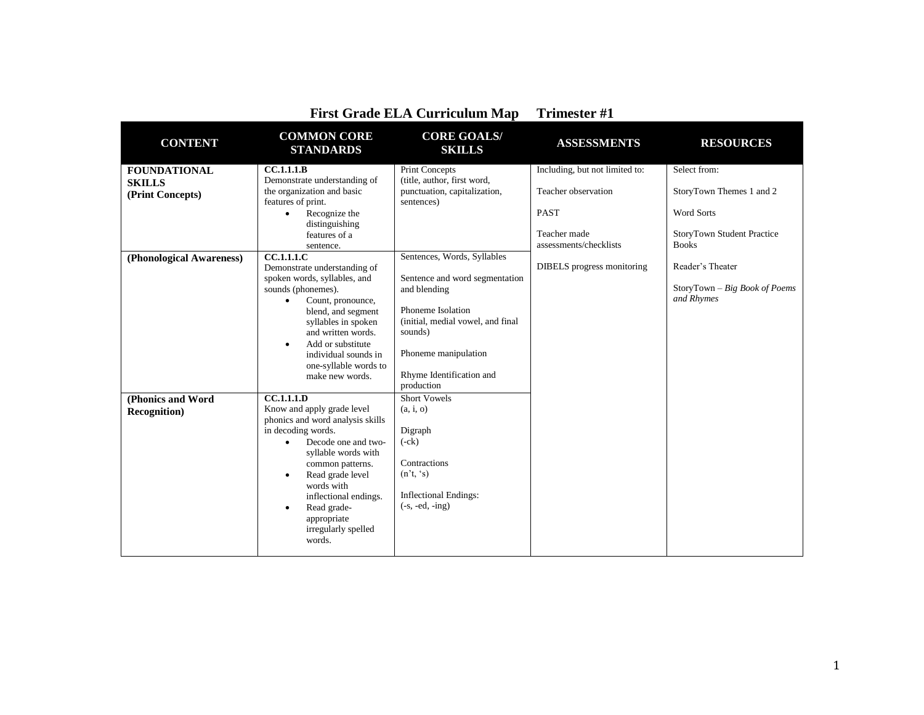| <b>CONTENT</b>           | <b>COMMON CORE</b><br><b>STANDARDS</b>                 | <b>CORE GOALS/</b><br><b>SKILLS</b>        | <b>ASSESSMENTS</b>             | <b>RESOURCES</b>                  |
|--------------------------|--------------------------------------------------------|--------------------------------------------|--------------------------------|-----------------------------------|
| <b>FOUNDATIONAL</b>      | CC.1.1.1.B                                             | <b>Print Concepts</b>                      | Including, but not limited to: | Select from:                      |
| <b>SKILLS</b>            | Demonstrate understanding of                           | (title, author, first word,                |                                |                                   |
| (Print Concepts)         | the organization and basic<br>features of print.       | punctuation, capitalization,<br>sentences) | Teacher observation            | StoryTown Themes 1 and 2          |
|                          | Recognize the<br>$\bullet$                             |                                            | <b>PAST</b>                    | <b>Word Sorts</b>                 |
|                          | distinguishing                                         |                                            |                                |                                   |
|                          | features of a                                          |                                            | Teacher made                   | <b>StoryTown Student Practice</b> |
|                          | sentence.                                              |                                            | assessments/checklists         | <b>Books</b>                      |
| (Phonological Awareness) | <b>CC.1.1.1.C</b><br>Demonstrate understanding of      | Sentences, Words, Syllables                | DIBELS progress monitoring     | Reader's Theater                  |
|                          | spoken words, syllables, and                           | Sentence and word segmentation             |                                |                                   |
|                          | sounds (phonemes).                                     | and blending                               |                                | StoryTown - Big Book of Poems     |
|                          | Count, pronounce,<br>$\bullet$                         |                                            |                                | and Rhymes                        |
|                          | blend, and segment                                     | Phoneme Isolation                          |                                |                                   |
|                          | syllables in spoken                                    | (initial, medial vowel, and final          |                                |                                   |
|                          | and written words.                                     | sounds)                                    |                                |                                   |
|                          | Add or substitute<br>$\bullet$                         | Phoneme manipulation                       |                                |                                   |
|                          | individual sounds in<br>one-syllable words to          |                                            |                                |                                   |
|                          | make new words.                                        | Rhyme Identification and                   |                                |                                   |
|                          |                                                        | production                                 |                                |                                   |
| (Phonics and Word        | CC.1.1.1.D                                             | <b>Short Vowels</b>                        |                                |                                   |
| <b>Recognition</b> )     | Know and apply grade level                             | (a, i, o)                                  |                                |                                   |
|                          | phonics and word analysis skills                       |                                            |                                |                                   |
|                          | in decoding words.<br>Decode one and two-<br>$\bullet$ | Digraph<br>$(-ck)$                         |                                |                                   |
|                          | syllable words with                                    |                                            |                                |                                   |
|                          | common patterns.                                       | Contractions                               |                                |                                   |
|                          | Read grade level<br>$\bullet$                          | (n't, 's)                                  |                                |                                   |
|                          | words with                                             |                                            |                                |                                   |
|                          | inflectional endings.                                  | <b>Inflectional Endings:</b>               |                                |                                   |
|                          | Read grade-<br>$\bullet$                               | $(-s, -ed, -ing)$                          |                                |                                   |
|                          | appropriate<br>irregularly spelled                     |                                            |                                |                                   |
|                          | words.                                                 |                                            |                                |                                   |
|                          |                                                        |                                            |                                |                                   |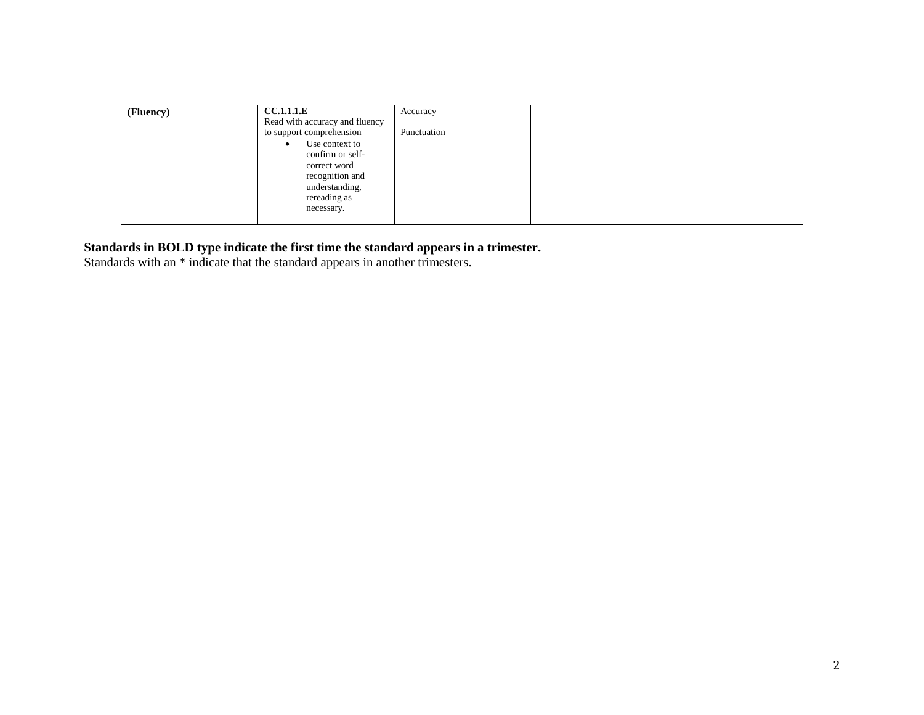| (Fluency) | <b>CC.1.1.1.E</b>              | Accuracy    |  |
|-----------|--------------------------------|-------------|--|
|           | Read with accuracy and fluency |             |  |
|           | to support comprehension       | Punctuation |  |
|           | Use context to<br>$\bullet$    |             |  |
|           | confirm or self-               |             |  |
|           | correct word                   |             |  |
|           | recognition and                |             |  |
|           | understanding,                 |             |  |
|           | rereading as                   |             |  |
|           | necessary.                     |             |  |
|           |                                |             |  |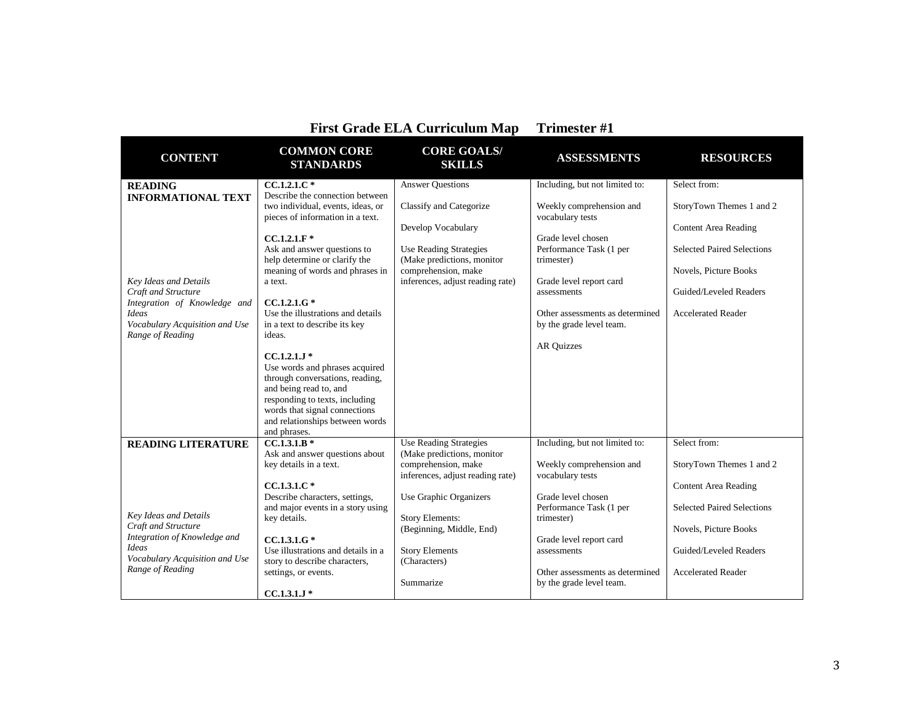| <b>First Grade ELA Curriculum Map</b>                                                                                                       |                                                                                                                                                                                                                                                                                                                                                                                                                                                     |                                                                                                                                                  | <b>Trimester #1</b>                                                                                                                                                                                           |                                                                                                                                                  |
|---------------------------------------------------------------------------------------------------------------------------------------------|-----------------------------------------------------------------------------------------------------------------------------------------------------------------------------------------------------------------------------------------------------------------------------------------------------------------------------------------------------------------------------------------------------------------------------------------------------|--------------------------------------------------------------------------------------------------------------------------------------------------|---------------------------------------------------------------------------------------------------------------------------------------------------------------------------------------------------------------|--------------------------------------------------------------------------------------------------------------------------------------------------|
| <b>CONTENT</b>                                                                                                                              | <b>COMMON CORE</b><br><b>STANDARDS</b>                                                                                                                                                                                                                                                                                                                                                                                                              | <b>CORE GOALS/</b><br><b>SKILLS</b>                                                                                                              | <b>ASSESSMENTS</b>                                                                                                                                                                                            | <b>RESOURCES</b>                                                                                                                                 |
| <b>READING</b><br><b>INFORMATIONAL TEXT</b>                                                                                                 | $CC.1.2.1.C*$<br>Describe the connection between<br>two individual, events, ideas, or                                                                                                                                                                                                                                                                                                                                                               | <b>Answer Questions</b><br>Classify and Categorize                                                                                               | Including, but not limited to:<br>Weekly comprehension and                                                                                                                                                    | Select from:<br>StoryTown Themes 1 and 2                                                                                                         |
| Key Ideas and Details<br>Craft and Structure<br>Integration of Knowledge and<br>Ideas<br>Vocabulary Acquisition and Use<br>Range of Reading | pieces of information in a text.<br>$CC.1.2.1.F*$<br>Ask and answer questions to<br>help determine or clarify the<br>meaning of words and phrases in<br>a text.<br>$CC.1.2.1.G*$<br>Use the illustrations and details<br>in a text to describe its key<br>ideas.<br>$CC.1.2.1.1*$<br>Use words and phrases acquired<br>through conversations, reading,<br>and being read to, and<br>responding to texts, including<br>words that signal connections | Develop Vocabulary<br><b>Use Reading Strategies</b><br>(Make predictions, monitor<br>comprehension, make<br>inferences, adjust reading rate)     | vocabulary tests<br>Grade level chosen<br>Performance Task (1 per<br>trimester)<br>Grade level report card<br>assessments<br>Other assessments as determined<br>by the grade level team.<br><b>AR Quizzes</b> | <b>Content Area Reading</b><br><b>Selected Paired Selections</b><br>Novels, Picture Books<br>Guided/Leveled Readers<br><b>Accelerated Reader</b> |
|                                                                                                                                             | and relationships between words<br>and phrases.                                                                                                                                                                                                                                                                                                                                                                                                     |                                                                                                                                                  |                                                                                                                                                                                                               |                                                                                                                                                  |
| <b>READING LITERATURE</b>                                                                                                                   | $CC.1.3.1.B*$<br>Ask and answer questions about<br>key details in a text.<br>$CC.1.3.1.C*$<br>Describe characters, settings,                                                                                                                                                                                                                                                                                                                        | <b>Use Reading Strategies</b><br>(Make predictions, monitor<br>comprehension, make<br>inferences, adjust reading rate)<br>Use Graphic Organizers | Including, but not limited to:<br>Weekly comprehension and<br>vocabulary tests<br>Grade level chosen                                                                                                          | Select from:<br>StoryTown Themes 1 and 2<br><b>Content Area Reading</b>                                                                          |
| <b>Key Ideas and Details</b><br>Craft and Structure<br>Integration of Knowledge and<br><b>Ideas</b><br>Vocabulary Acquisition and Use       | and major events in a story using<br>key details.<br>$CC.1.3.1.G*$<br>Use illustrations and details in a                                                                                                                                                                                                                                                                                                                                            | <b>Story Elements:</b><br>(Beginning, Middle, End)<br><b>Story Elements</b>                                                                      | Performance Task (1 per<br>trimester)<br>Grade level report card<br>assessments                                                                                                                               | <b>Selected Paired Selections</b><br>Novels, Picture Books<br>Guided/Leveled Readers                                                             |
| Range of Reading                                                                                                                            | story to describe characters,<br>settings, or events.<br>$CC.1.3.1.J*$                                                                                                                                                                                                                                                                                                                                                                              | (Characters)<br>Summarize                                                                                                                        | Other assessments as determined<br>by the grade level team.                                                                                                                                                   | <b>Accelerated Reader</b>                                                                                                                        |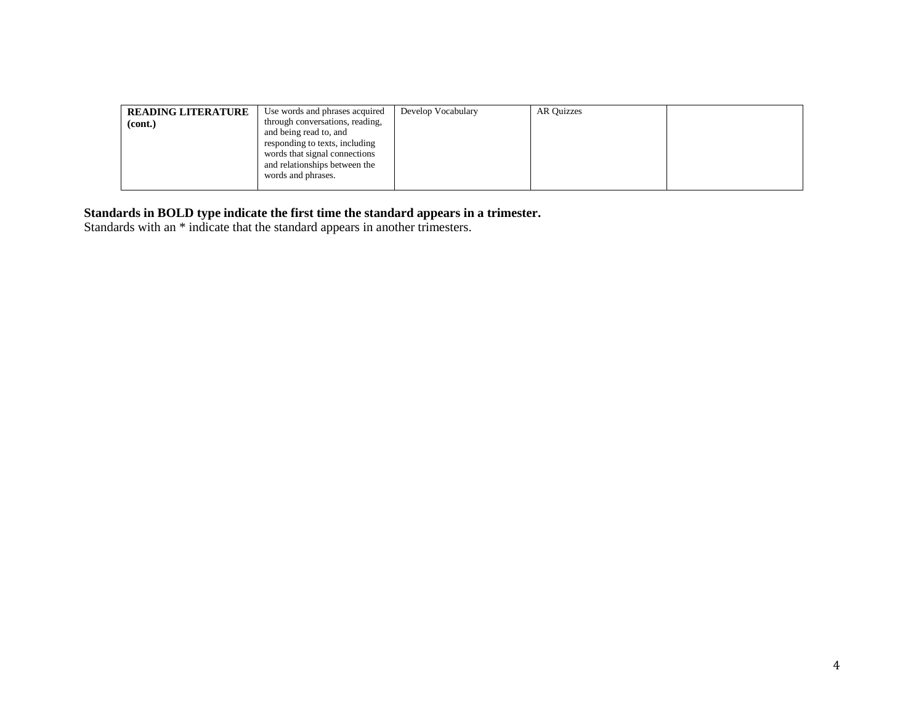| <b>READING LITERATURE</b><br>(cont.) | Use words and phrases acquired<br>through conversations, reading,<br>and being read to, and                            | Develop Vocabulary | AR Ouizzes |  |
|--------------------------------------|------------------------------------------------------------------------------------------------------------------------|--------------------|------------|--|
|                                      | responding to texts, including<br>words that signal connections<br>and relationships between the<br>words and phrases. |                    |            |  |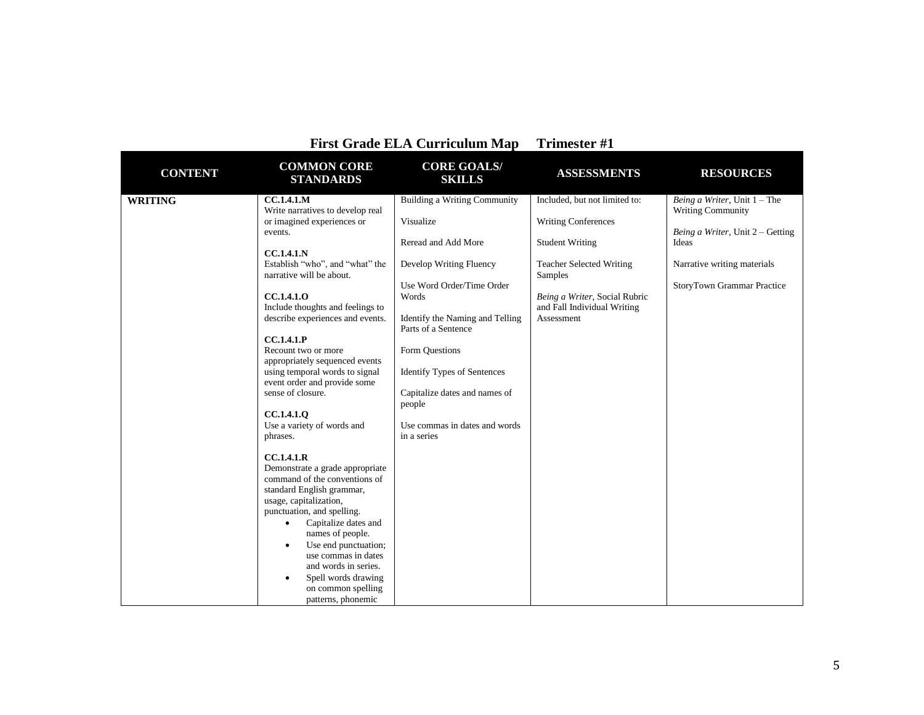|                | <b>First Grade ELA Curriculum Map</b>                                                                                                                                                                                                                                                                                                                                                                                                                                                                                                                                                                                                                                                                                                                                                                                                                                                      |                                                                                                                                                                                                                                                                                                                                                       |                                                                                                                                                                                                                   |                                                                                                                                                                             |
|----------------|--------------------------------------------------------------------------------------------------------------------------------------------------------------------------------------------------------------------------------------------------------------------------------------------------------------------------------------------------------------------------------------------------------------------------------------------------------------------------------------------------------------------------------------------------------------------------------------------------------------------------------------------------------------------------------------------------------------------------------------------------------------------------------------------------------------------------------------------------------------------------------------------|-------------------------------------------------------------------------------------------------------------------------------------------------------------------------------------------------------------------------------------------------------------------------------------------------------------------------------------------------------|-------------------------------------------------------------------------------------------------------------------------------------------------------------------------------------------------------------------|-----------------------------------------------------------------------------------------------------------------------------------------------------------------------------|
| <b>CONTENT</b> | <b>COMMON CORE</b><br><b>STANDARDS</b>                                                                                                                                                                                                                                                                                                                                                                                                                                                                                                                                                                                                                                                                                                                                                                                                                                                     | <b>CORE GOALS/</b><br><b>SKILLS</b>                                                                                                                                                                                                                                                                                                                   | <b>ASSESSMENTS</b>                                                                                                                                                                                                | <b>RESOURCES</b>                                                                                                                                                            |
| <b>WRITING</b> | <b>CC.1.4.1.M</b><br>Write narratives to develop real<br>or imagined experiences or<br>events.<br>CC.1.4.1.N<br>Establish "who", and "what" the<br>narrative will be about.<br>CC.1.4.1.0<br>Include thoughts and feelings to<br>describe experiences and events.<br>CC.1.4.1.P<br>Recount two or more<br>appropriately sequenced events<br>using temporal words to signal<br>event order and provide some<br>sense of closure.<br><b>CC.1.4.1.0</b><br>Use a variety of words and<br>phrases.<br>CC.1.4.1.R<br>Demonstrate a grade appropriate<br>command of the conventions of<br>standard English grammar,<br>usage, capitalization,<br>punctuation, and spelling.<br>Capitalize dates and<br>$\bullet$<br>names of people.<br>Use end punctuation;<br>٠<br>use commas in dates<br>and words in series.<br>Spell words drawing<br>$\bullet$<br>on common spelling<br>patterns, phonemic | <b>Building a Writing Community</b><br>Visualize<br>Reread and Add More<br>Develop Writing Fluency<br>Use Word Order/Time Order<br>Words<br>Identify the Naming and Telling<br>Parts of a Sentence<br>Form Questions<br><b>Identify Types of Sentences</b><br>Capitalize dates and names of<br>people<br>Use commas in dates and words<br>in a series | Included, but not limited to:<br><b>Writing Conferences</b><br><b>Student Writing</b><br><b>Teacher Selected Writing</b><br>Samples<br>Being a Writer, Social Rubric<br>and Fall Individual Writing<br>Assessment | Being a Writer, Unit $1$ – The<br><b>Writing Community</b><br>Being a Writer, Unit 2 – Getting<br>Ideas<br>Narrative writing materials<br><b>StoryTown Grammar Practice</b> |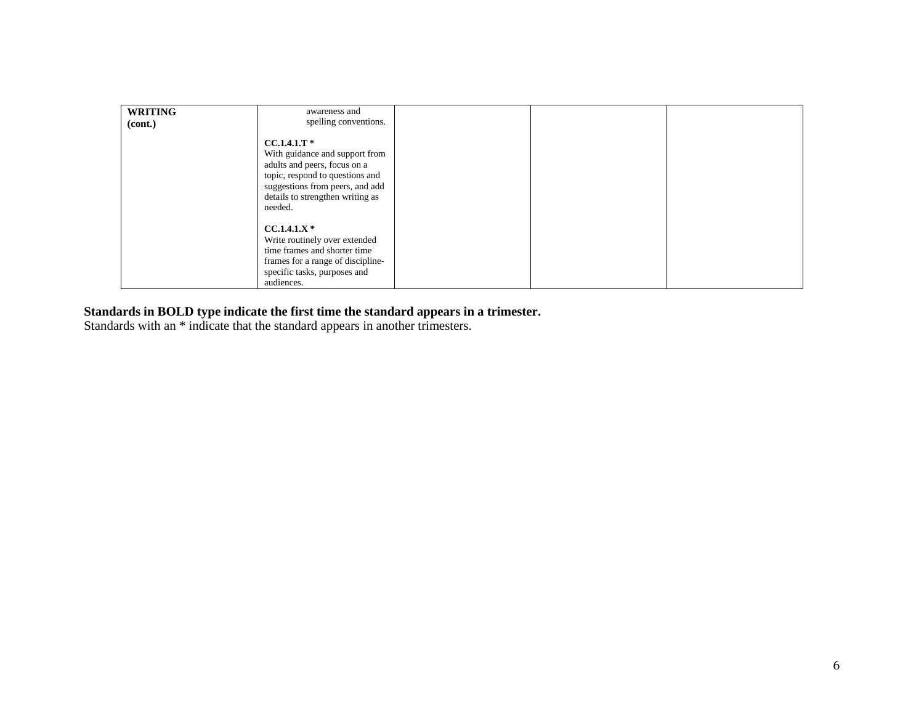| <b>WRITING</b> | awareness and                                                                                                                                                                                        |  |  |
|----------------|------------------------------------------------------------------------------------------------------------------------------------------------------------------------------------------------------|--|--|
| (cont.)        | spelling conventions.                                                                                                                                                                                |  |  |
|                |                                                                                                                                                                                                      |  |  |
|                | $CC.1.4.1.T*$<br>With guidance and support from<br>adults and peers, focus on a<br>topic, respond to questions and<br>suggestions from peers, and add<br>details to strengthen writing as<br>needed. |  |  |
|                | $CC.1.4.1.X*$<br>Write routinely over extended<br>time frames and shorter time<br>frames for a range of discipline-<br>specific tasks, purposes and<br>audiences.                                    |  |  |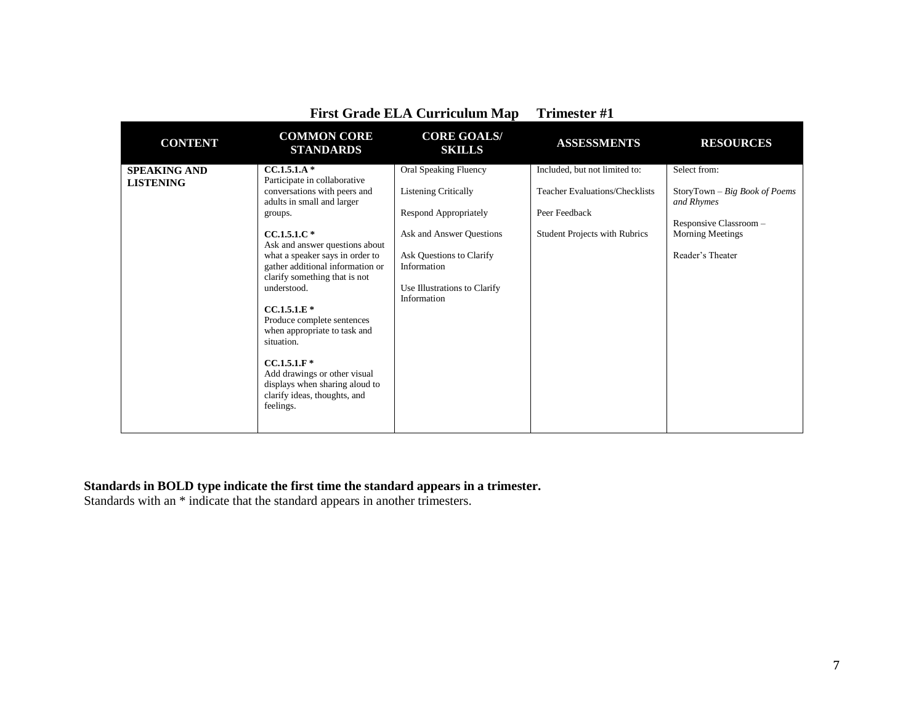|                                         | <b>First Grade ELA Curriculum Map</b>                                                                                                                                                                                                                                                                                                                                                                                                                                                                                         |                                                                                                                                                                                                            | <b>Trimester #1</b>                                                                                                             |                                                                                                                                         |
|-----------------------------------------|-------------------------------------------------------------------------------------------------------------------------------------------------------------------------------------------------------------------------------------------------------------------------------------------------------------------------------------------------------------------------------------------------------------------------------------------------------------------------------------------------------------------------------|------------------------------------------------------------------------------------------------------------------------------------------------------------------------------------------------------------|---------------------------------------------------------------------------------------------------------------------------------|-----------------------------------------------------------------------------------------------------------------------------------------|
| <b>CONTENT</b>                          | <b>COMMON CORE</b><br><b>STANDARDS</b>                                                                                                                                                                                                                                                                                                                                                                                                                                                                                        | <b>CORE GOALS/</b><br><b>SKILLS</b>                                                                                                                                                                        | <b>ASSESSMENTS</b>                                                                                                              | <b>RESOURCES</b>                                                                                                                        |
| <b>SPEAKING AND</b><br><b>LISTENING</b> | $CC.1.5.1.A*$<br>Participate in collaborative<br>conversations with peers and<br>adults in small and larger<br>groups.<br>$CC.1.5.1.C*$<br>Ask and answer questions about<br>what a speaker says in order to<br>gather additional information or<br>clarify something that is not<br>understood.<br>$CC.1.5.1.E*$<br>Produce complete sentences<br>when appropriate to task and<br>situation.<br>$CC.1.5.1.F*$<br>Add drawings or other visual<br>displays when sharing aloud to<br>clarify ideas, thoughts, and<br>feelings. | <b>Oral Speaking Fluency</b><br><b>Listening Critically</b><br>Respond Appropriately<br>Ask and Answer Ouestions<br>Ask Questions to Clarify<br>Information<br>Use Illustrations to Clarify<br>Information | Included, but not limited to:<br><b>Teacher Evaluations/Checklists</b><br>Peer Feedback<br><b>Student Projects with Rubrics</b> | Select from:<br>$Story Town - Big Book of Poems$<br>and Rhymes<br>Responsive Classroom -<br><b>Morning Meetings</b><br>Reader's Theater |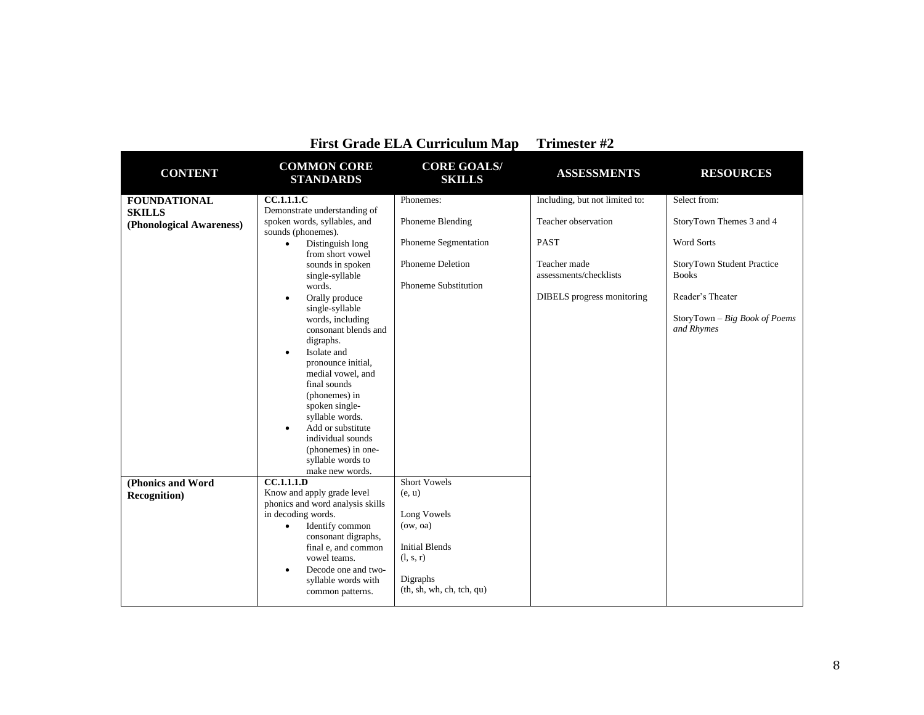|                          |                                                                                                                           | <b>First Grade ELA Curriculum Map</b> | Trimester #2                           |                                             |
|--------------------------|---------------------------------------------------------------------------------------------------------------------------|---------------------------------------|----------------------------------------|---------------------------------------------|
| <b>CONTENT</b>           | <b>COMMON CORE</b><br><b>STANDARDS</b>                                                                                    | <b>CORE GOALS/</b><br><b>SKILLS</b>   | <b>ASSESSMENTS</b>                     | <b>RESOURCES</b>                            |
| <b>FOUNDATIONAL</b>      | <b>CC.1.1.1.C</b>                                                                                                         | Phonemes:                             | Including, but not limited to:         | Select from:                                |
| <b>SKILLS</b>            | Demonstrate understanding of                                                                                              |                                       |                                        |                                             |
| (Phonological Awareness) | spoken words, syllables, and<br>sounds (phonemes).                                                                        | Phoneme Blending                      | Teacher observation                    | StoryTown Themes 3 and 4                    |
|                          | Distinguish long<br>$\bullet$<br>from short vowel                                                                         | Phoneme Segmentation                  | PAST                                   | <b>Word Sorts</b>                           |
|                          | sounds in spoken<br>single-syllable                                                                                       | <b>Phoneme Deletion</b>               | Teacher made<br>assessments/checklists | StoryTown Student Practice<br><b>Books</b>  |
|                          | words.                                                                                                                    | <b>Phoneme Substitution</b>           |                                        |                                             |
|                          | Orally produce<br>$\bullet$<br>single-syllable                                                                            |                                       | DIBELS progress monitoring             | Reader's Theater                            |
|                          | words, including<br>consonant blends and<br>digraphs.<br>Isolate and<br>$\bullet$<br>pronounce initial,                   |                                       |                                        | StoryTown - Big Book of Poems<br>and Rhymes |
|                          | medial vowel, and<br>final sounds<br>(phonemes) in<br>spoken single-<br>syllable words.<br>Add or substitute<br>$\bullet$ |                                       |                                        |                                             |
|                          | individual sounds                                                                                                         |                                       |                                        |                                             |
|                          | (phonemes) in one-                                                                                                        |                                       |                                        |                                             |
|                          | syllable words to                                                                                                         |                                       |                                        |                                             |
| (Phonics and Word        | make new words.<br>$\overline{CC.1.1.1.D}$                                                                                | Short Vowels                          |                                        |                                             |
| <b>Recognition</b> )     | Know and apply grade level                                                                                                | (e, u)                                |                                        |                                             |
|                          | phonics and word analysis skills                                                                                          |                                       |                                        |                                             |
|                          | in decoding words.                                                                                                        | Long Vowels                           |                                        |                                             |
|                          | Identify common<br>$\bullet$                                                                                              | (ow, oa)                              |                                        |                                             |
|                          | consonant digraphs,                                                                                                       |                                       |                                        |                                             |
|                          | final e, and common<br>vowel teams.                                                                                       | <b>Initial Blends</b><br>(l, s, r)    |                                        |                                             |
|                          | Decode one and two-<br>$\bullet$                                                                                          |                                       |                                        |                                             |
|                          | syllable words with                                                                                                       | Digraphs                              |                                        |                                             |
|                          | common patterns.                                                                                                          | (th, sh, wh, ch, tch, qu)             |                                        |                                             |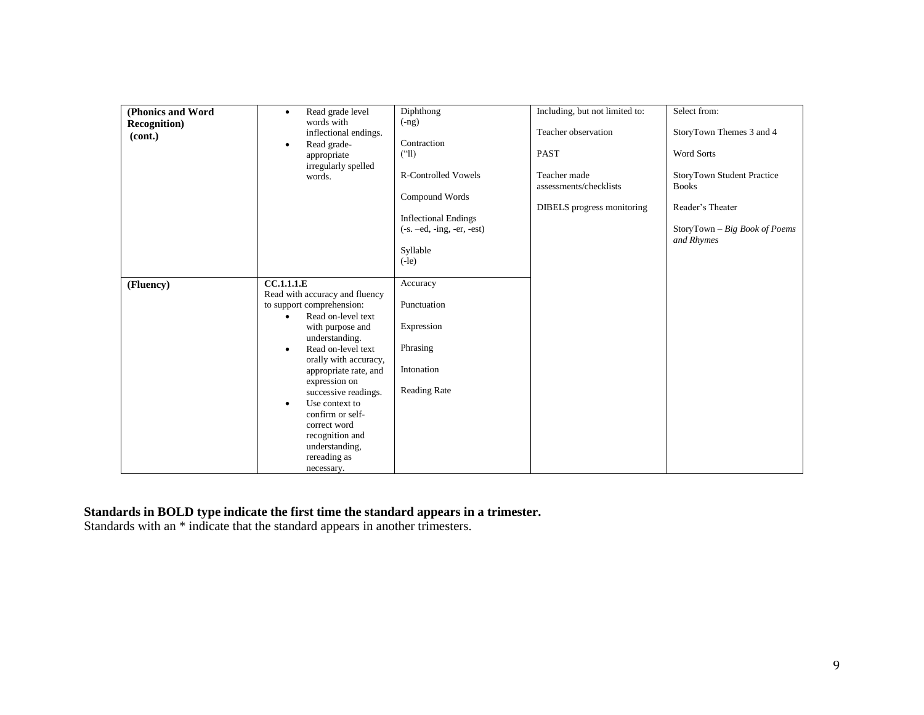| (Phonics and Word    | Read grade level<br>$\bullet$                  | Diphthong                       | Including, but not limited to: | Select from:                      |
|----------------------|------------------------------------------------|---------------------------------|--------------------------------|-----------------------------------|
| <b>Recognition</b> ) | words with                                     | $(-ng)$                         |                                |                                   |
| (cont.)              | inflectional endings.                          |                                 | Teacher observation            | StoryTown Themes 3 and 4          |
|                      | Read grade-<br>٠                               | Contraction                     |                                | <b>Word Sorts</b>                 |
|                      | appropriate                                    | $^{\left( \text{``ll}\right) }$ | <b>PAST</b>                    |                                   |
|                      | irregularly spelled<br>words.                  | <b>R-Controlled Vowels</b>      | Teacher made                   | <b>StoryTown Student Practice</b> |
|                      |                                                |                                 | assessments/checklists         | <b>Books</b>                      |
|                      |                                                | Compound Words                  |                                |                                   |
|                      |                                                |                                 | DIBELS progress monitoring     | Reader's Theater                  |
|                      |                                                | <b>Inflectional Endings</b>     |                                |                                   |
|                      |                                                | $(-s. -ed, -ing, -er, -est)$    |                                | StoryTown - Big Book of Poems     |
|                      |                                                |                                 |                                | and Rhymes                        |
|                      |                                                | Syllable<br>$(-le)$             |                                |                                   |
|                      |                                                |                                 |                                |                                   |
| (Fluency)            | CC.1.1.1.E                                     | Accuracy                        |                                |                                   |
|                      | Read with accuracy and fluency                 |                                 |                                |                                   |
|                      | to support comprehension:                      | Punctuation                     |                                |                                   |
|                      | Read on-level text<br>$\bullet$                |                                 |                                |                                   |
|                      | with purpose and                               | Expression                      |                                |                                   |
|                      | understanding.                                 |                                 |                                |                                   |
|                      | Read on-level text<br>$\bullet$                | Phrasing                        |                                |                                   |
|                      | orally with accuracy,<br>appropriate rate, and | Intonation                      |                                |                                   |
|                      | expression on                                  |                                 |                                |                                   |
|                      | successive readings.                           | <b>Reading Rate</b>             |                                |                                   |
|                      | Use context to<br>٠                            |                                 |                                |                                   |
|                      | confirm or self-                               |                                 |                                |                                   |
|                      | correct word                                   |                                 |                                |                                   |
|                      | recognition and                                |                                 |                                |                                   |
|                      | understanding,                                 |                                 |                                |                                   |
|                      | rereading as                                   |                                 |                                |                                   |
|                      | necessary.                                     |                                 |                                |                                   |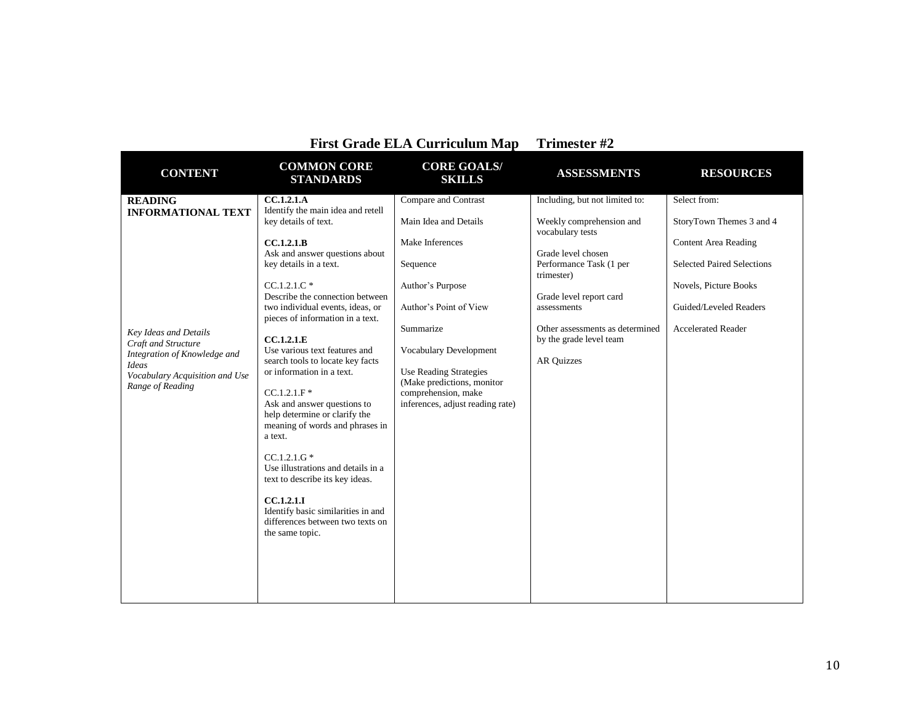|                                                                                                                                                                                                   |                                                                                                                                                                                                                                                                                                                                                                                                                                                                                                                                                                                                                                                                                                                        | <b>First Grade ELA Curriculum Map</b>                                                                                                                                                                                                                                                       | Trimester #2                                                                                                                                                                                                                                                               |                                                                                                                                                                                              |
|---------------------------------------------------------------------------------------------------------------------------------------------------------------------------------------------------|------------------------------------------------------------------------------------------------------------------------------------------------------------------------------------------------------------------------------------------------------------------------------------------------------------------------------------------------------------------------------------------------------------------------------------------------------------------------------------------------------------------------------------------------------------------------------------------------------------------------------------------------------------------------------------------------------------------------|---------------------------------------------------------------------------------------------------------------------------------------------------------------------------------------------------------------------------------------------------------------------------------------------|----------------------------------------------------------------------------------------------------------------------------------------------------------------------------------------------------------------------------------------------------------------------------|----------------------------------------------------------------------------------------------------------------------------------------------------------------------------------------------|
| <b>CONTENT</b>                                                                                                                                                                                    | <b>COMMON CORE</b><br><b>STANDARDS</b>                                                                                                                                                                                                                                                                                                                                                                                                                                                                                                                                                                                                                                                                                 | <b>CORE GOALS/</b><br><b>SKILLS</b>                                                                                                                                                                                                                                                         | <b>ASSESSMENTS</b>                                                                                                                                                                                                                                                         | <b>RESOURCES</b>                                                                                                                                                                             |
| <b>READING</b><br><b>INFORMATIONAL TEXT</b><br>Key Ideas and Details<br>Craft and Structure<br>Integration of Knowledge and<br><b>Ideas</b><br>Vocabulary Acquisition and Use<br>Range of Reading | <b>CC.1.2.1.A</b><br>Identify the main idea and retell<br>key details of text.<br>CC.1.2.1.B<br>Ask and answer questions about<br>key details in a text.<br>$CC.1.2.1.C*$<br>Describe the connection between<br>two individual events, ideas, or<br>pieces of information in a text.<br>CC.1.2.1.E<br>Use various text features and<br>search tools to locate key facts<br>or information in a text.<br>$CC.1.2.1.F$ *<br>Ask and answer questions to<br>help determine or clarify the<br>meaning of words and phrases in<br>a text.<br>$CC.1.2.1.G*$<br>Use illustrations and details in a<br>text to describe its key ideas.<br>CC.1.2.1.1<br>Identify basic similarities in and<br>differences between two texts on | Compare and Contrast<br>Main Idea and Details<br>Make Inferences<br>Sequence<br>Author's Purpose<br>Author's Point of View<br>Summarize<br>Vocabulary Development<br><b>Use Reading Strategies</b><br>(Make predictions, monitor<br>comprehension, make<br>inferences, adjust reading rate) | Including, but not limited to:<br>Weekly comprehension and<br>vocabulary tests<br>Grade level chosen<br>Performance Task (1 per<br>trimester)<br>Grade level report card<br>assessments<br>Other assessments as determined<br>by the grade level team<br><b>AR Quizzes</b> | Select from:<br>StoryTown Themes 3 and 4<br><b>Content Area Reading</b><br><b>Selected Paired Selections</b><br>Novels, Picture Books<br>Guided/Leveled Readers<br><b>Accelerated Reader</b> |
|                                                                                                                                                                                                   | the same topic.                                                                                                                                                                                                                                                                                                                                                                                                                                                                                                                                                                                                                                                                                                        |                                                                                                                                                                                                                                                                                             |                                                                                                                                                                                                                                                                            |                                                                                                                                                                                              |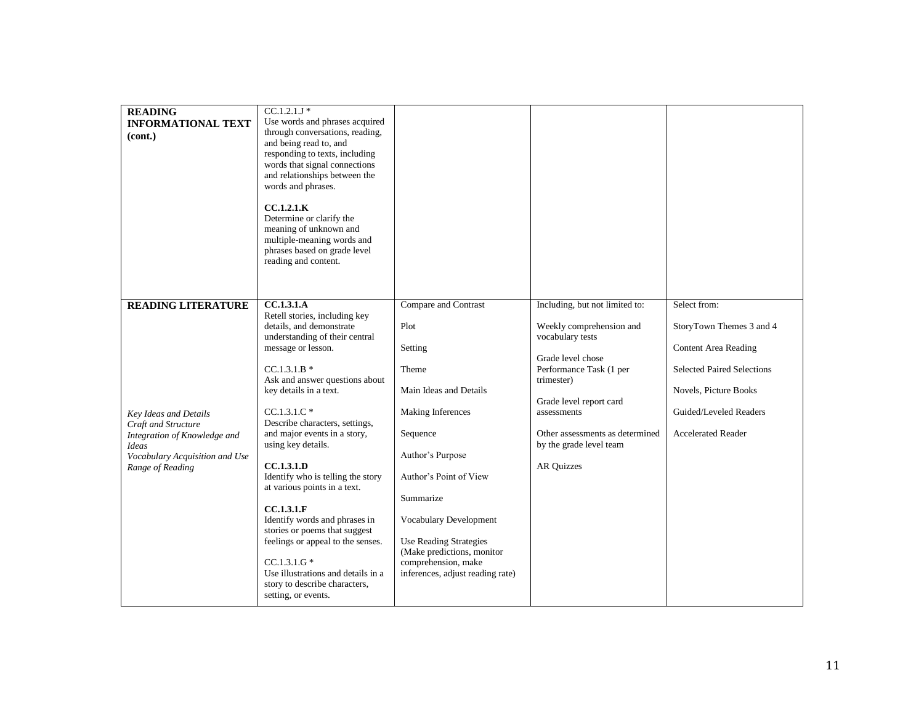| <b>READING</b><br><b>INFORMATIONAL TEXT</b><br>(cont.)                                                                                                                          | $CC.1.2.1J*$<br>Use words and phrases acquired<br>through conversations, reading,<br>and being read to, and<br>responding to texts, including<br>words that signal connections<br>and relationships between the<br>words and phrases.<br>CC.1.2.1.K<br>Determine or clarify the<br>meaning of unknown and<br>multiple-meaning words and<br>phrases based on grade level<br>reading and content.                                                                                                                                                                                                                                                            |                                                                                                                                                                                                                                                                                                                                   |                                                                                                                                                                                                                                                                           |                                                                                                                                                                                       |
|---------------------------------------------------------------------------------------------------------------------------------------------------------------------------------|------------------------------------------------------------------------------------------------------------------------------------------------------------------------------------------------------------------------------------------------------------------------------------------------------------------------------------------------------------------------------------------------------------------------------------------------------------------------------------------------------------------------------------------------------------------------------------------------------------------------------------------------------------|-----------------------------------------------------------------------------------------------------------------------------------------------------------------------------------------------------------------------------------------------------------------------------------------------------------------------------------|---------------------------------------------------------------------------------------------------------------------------------------------------------------------------------------------------------------------------------------------------------------------------|---------------------------------------------------------------------------------------------------------------------------------------------------------------------------------------|
| <b>READING LITERATURE</b><br>Key Ideas and Details<br>Craft and Structure<br>Integration of Knowledge and<br><b>Ideas</b><br>Vocabulary Acquisition and Use<br>Range of Reading | <b>CC.1.3.1.A</b><br>Retell stories, including key<br>details, and demonstrate<br>understanding of their central<br>message or lesson.<br>$CC.1.3.1.B*$<br>Ask and answer questions about<br>key details in a text.<br>$CC.1.3.1.C*$<br>Describe characters, settings,<br>and major events in a story,<br>using key details.<br><b>CC.1.3.1.D</b><br>Identify who is telling the story<br>at various points in a text.<br>CC.1.3.1.F<br>Identify words and phrases in<br>stories or poems that suggest<br>feelings or appeal to the senses.<br>$CC.1.3.1.G*$<br>Use illustrations and details in a<br>story to describe characters,<br>setting, or events. | Compare and Contrast<br>Plot<br>Setting<br>Theme<br>Main Ideas and Details<br>Making Inferences<br>Sequence<br>Author's Purpose<br>Author's Point of View<br>Summarize<br><b>Vocabulary Development</b><br><b>Use Reading Strategies</b><br>(Make predictions, monitor<br>comprehension, make<br>inferences, adjust reading rate) | Including, but not limited to:<br>Weekly comprehension and<br>vocabulary tests<br>Grade level chose<br>Performance Task (1 per<br>trimester)<br>Grade level report card<br>assessments<br>Other assessments as determined<br>by the grade level team<br><b>AR Quizzes</b> | Select from:<br>StoryTown Themes 3 and 4<br>Content Area Reading<br><b>Selected Paired Selections</b><br>Novels, Picture Books<br>Guided/Leveled Readers<br><b>Accelerated Reader</b> |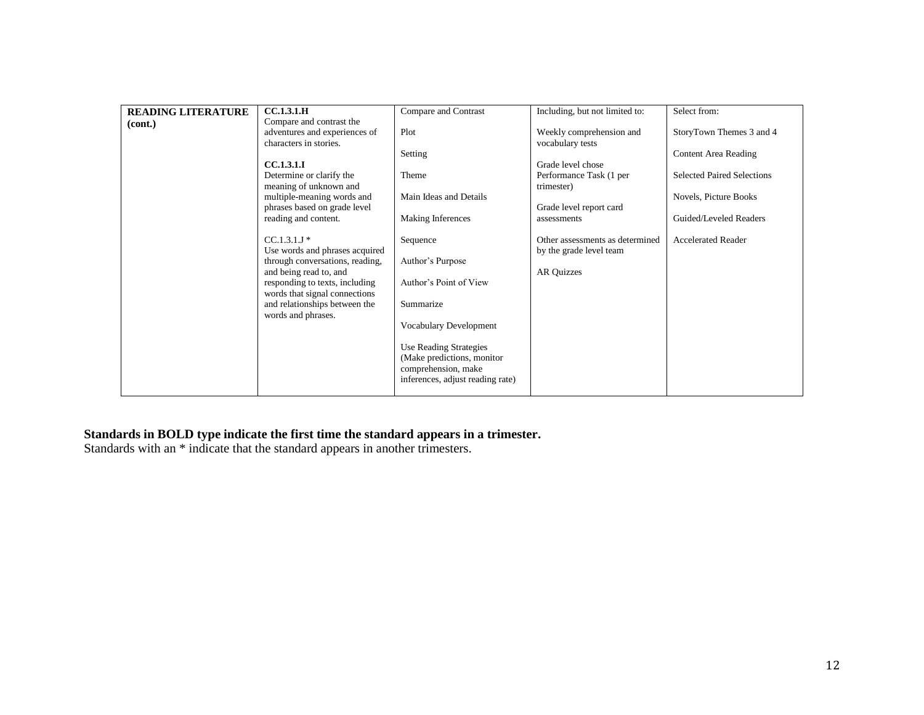| <b>READING LITERATURE</b> | <b>CC.1.3.1.H</b>                                                 | Compare and Contrast             | Including, but not limited to:        | Select from:                      |
|---------------------------|-------------------------------------------------------------------|----------------------------------|---------------------------------------|-----------------------------------|
| (cont.)                   | Compare and contrast the                                          |                                  |                                       |                                   |
|                           | adventures and experiences of                                     | Plot                             | Weekly comprehension and              | StoryTown Themes 3 and 4          |
|                           | characters in stories.                                            |                                  | vocabulary tests                      |                                   |
|                           |                                                                   | Setting                          |                                       | <b>Content Area Reading</b>       |
|                           | <b>CC.1.3.1.I</b>                                                 |                                  | Grade level chose                     |                                   |
|                           | Determine or clarify the<br>meaning of unknown and                | Theme                            | Performance Task (1 per<br>trimester) | <b>Selected Paired Selections</b> |
|                           | multiple-meaning words and                                        | Main Ideas and Details           |                                       | Novels, Picture Books             |
|                           | phrases based on grade level                                      |                                  | Grade level report card               |                                   |
|                           | reading and content.                                              | <b>Making Inferences</b>         | assessments                           | Guided/Leveled Readers            |
|                           | $CC.1.3.1J*$                                                      |                                  | Other assessments as determined       |                                   |
|                           |                                                                   | Sequence                         |                                       | <b>Accelerated Reader</b>         |
|                           | Use words and phrases acquired<br>through conversations, reading, | Author's Purpose                 | by the grade level team               |                                   |
|                           | and being read to, and                                            |                                  |                                       |                                   |
|                           | responding to texts, including                                    | Author's Point of View           | AR Quizzes                            |                                   |
|                           | words that signal connections                                     |                                  |                                       |                                   |
|                           | and relationships between the                                     | Summarize                        |                                       |                                   |
|                           | words and phrases.                                                |                                  |                                       |                                   |
|                           |                                                                   | Vocabulary Development           |                                       |                                   |
|                           |                                                                   |                                  |                                       |                                   |
|                           |                                                                   | <b>Use Reading Strategies</b>    |                                       |                                   |
|                           |                                                                   | (Make predictions, monitor       |                                       |                                   |
|                           |                                                                   | comprehension, make              |                                       |                                   |
|                           |                                                                   | inferences, adjust reading rate) |                                       |                                   |
|                           |                                                                   |                                  |                                       |                                   |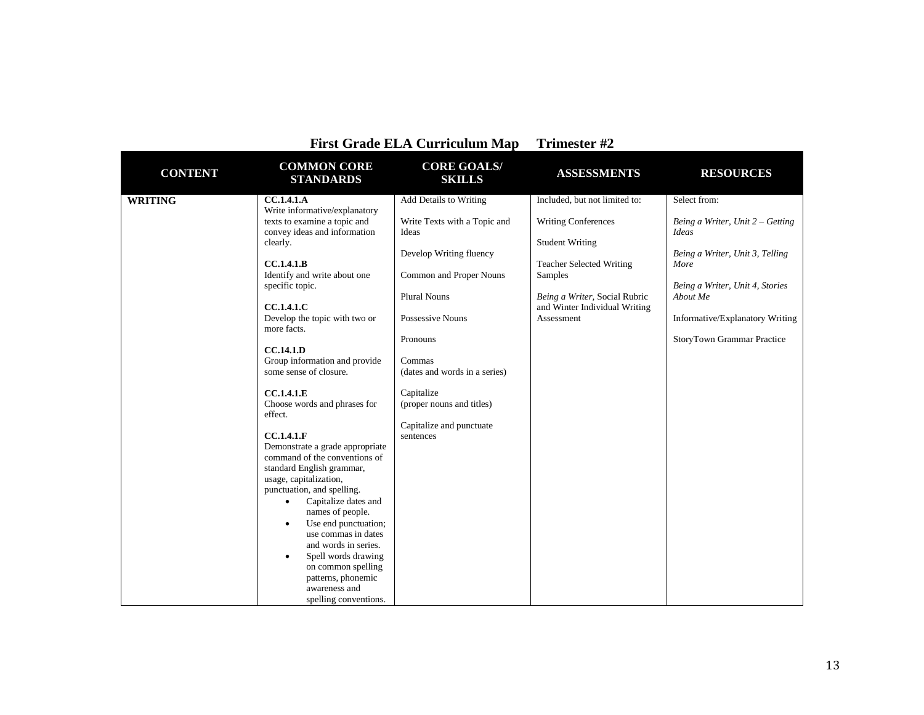|                |                                                                                                                                                                                                                                                                                                                                                                                                                                                                                                                                                                                                                                                                                                                           | <b>First Grade ELA Curriculum Map</b>                                                                                                                                                                                                                                                                       | Trimester #2                                                                                                                                                                                                        |                                                                                                                                                                                                                               |
|----------------|---------------------------------------------------------------------------------------------------------------------------------------------------------------------------------------------------------------------------------------------------------------------------------------------------------------------------------------------------------------------------------------------------------------------------------------------------------------------------------------------------------------------------------------------------------------------------------------------------------------------------------------------------------------------------------------------------------------------------|-------------------------------------------------------------------------------------------------------------------------------------------------------------------------------------------------------------------------------------------------------------------------------------------------------------|---------------------------------------------------------------------------------------------------------------------------------------------------------------------------------------------------------------------|-------------------------------------------------------------------------------------------------------------------------------------------------------------------------------------------------------------------------------|
| <b>CONTENT</b> | <b>COMMON CORE</b><br><b>STANDARDS</b>                                                                                                                                                                                                                                                                                                                                                                                                                                                                                                                                                                                                                                                                                    | <b>CORE GOALS/</b><br><b>SKILLS</b>                                                                                                                                                                                                                                                                         | <b>ASSESSMENTS</b>                                                                                                                                                                                                  | <b>RESOURCES</b>                                                                                                                                                                                                              |
| <b>WRITING</b> | CC.1.4.1.A<br>Write informative/explanatory<br>texts to examine a topic and<br>convey ideas and information<br>clearly.<br>CC.1.4.1.B<br>Identify and write about one<br>specific topic.<br><b>CC.1.4.1.C</b><br>Develop the topic with two or<br>more facts.<br>CC.14.1.D<br>Group information and provide<br>some sense of closure.<br>CC.1.4.1.E<br>Choose words and phrases for<br>effect.<br><b>CC.1.4.1.F</b><br>Demonstrate a grade appropriate<br>command of the conventions of<br>standard English grammar,<br>usage, capitalization,<br>punctuation, and spelling.<br>Capitalize dates and<br>$\bullet$<br>names of people.<br>Use end punctuation;<br>$\bullet$<br>use commas in dates<br>and words in series. | Add Details to Writing<br>Write Texts with a Topic and<br>Ideas<br>Develop Writing fluency<br>Common and Proper Nouns<br><b>Plural Nouns</b><br>Possessive Nouns<br>Pronouns<br>Commas<br>(dates and words in a series)<br>Capitalize<br>(proper nouns and titles)<br>Capitalize and punctuate<br>sentences | Included, but not limited to:<br><b>Writing Conferences</b><br><b>Student Writing</b><br><b>Teacher Selected Writing</b><br>Samples<br>Being a Writer, Social Rubric<br>and Winter Individual Writing<br>Assessment | Select from:<br>Being a Writer, Unit $2 -$ Getting<br>Ideas<br>Being a Writer, Unit 3, Telling<br>More<br>Being a Writer, Unit 4, Stories<br>About Me<br>Informative/Explanatory Writing<br><b>StoryTown Grammar Practice</b> |
|                | Spell words drawing<br>٠<br>on common spelling<br>patterns, phonemic<br>awareness and<br>spelling conventions.                                                                                                                                                                                                                                                                                                                                                                                                                                                                                                                                                                                                            |                                                                                                                                                                                                                                                                                                             |                                                                                                                                                                                                                     |                                                                                                                                                                                                                               |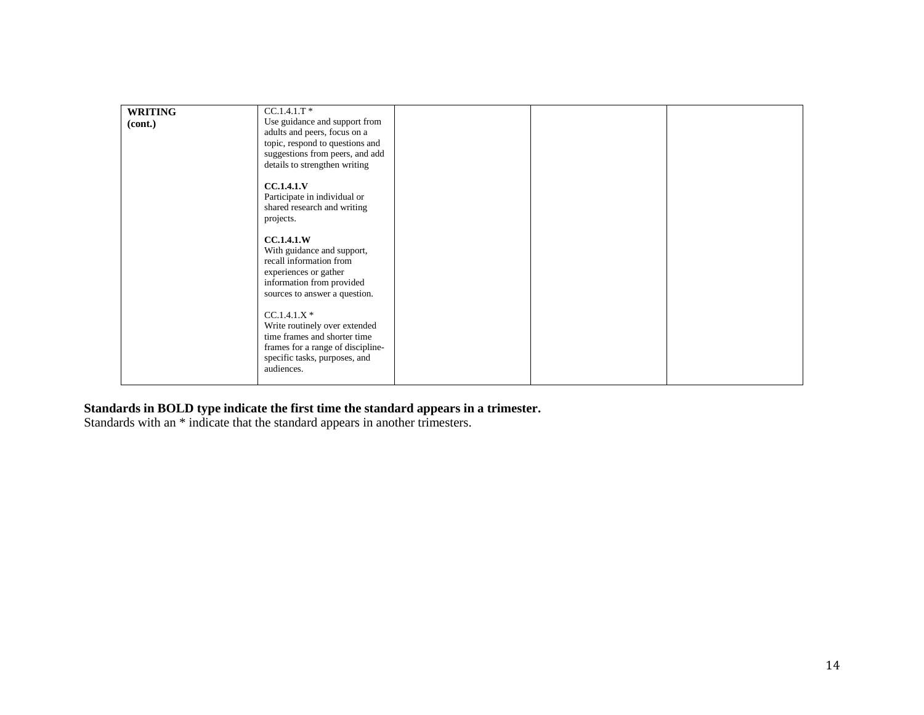| <b>WRITING</b> | $CC.1.4.1.T$ *                    |  |  |
|----------------|-----------------------------------|--|--|
| (cont.)        | Use guidance and support from     |  |  |
|                | adults and peers, focus on a      |  |  |
|                | topic, respond to questions and   |  |  |
|                | suggestions from peers, and add   |  |  |
|                | details to strengthen writing     |  |  |
|                |                                   |  |  |
|                | <b>CC.1.4.1.V</b>                 |  |  |
|                | Participate in individual or      |  |  |
|                | shared research and writing       |  |  |
|                | projects.                         |  |  |
|                |                                   |  |  |
|                | <b>CC.1.4.1.W</b>                 |  |  |
|                | With guidance and support,        |  |  |
|                | recall information from           |  |  |
|                | experiences or gather             |  |  |
|                | information from provided         |  |  |
|                |                                   |  |  |
|                | sources to answer a question.     |  |  |
|                | $CC.1.4.1.X*$                     |  |  |
|                |                                   |  |  |
|                | Write routinely over extended     |  |  |
|                | time frames and shorter time      |  |  |
|                | frames for a range of discipline- |  |  |
|                | specific tasks, purposes, and     |  |  |
|                | audiences.                        |  |  |
|                |                                   |  |  |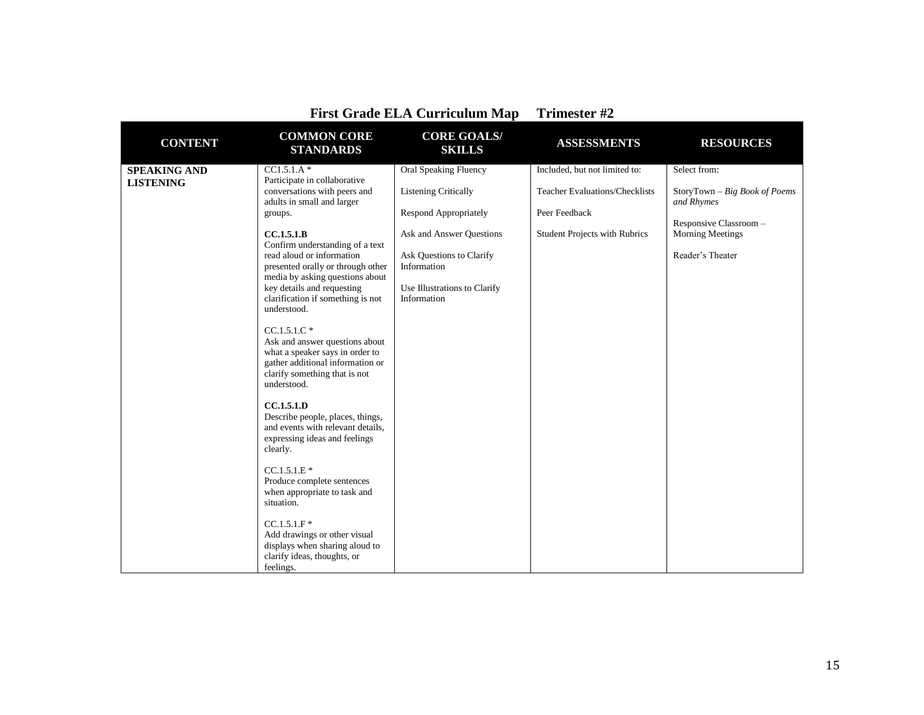| <b>CONTENT</b>                          | <b>COMMON CORE</b><br><b>STANDARDS</b>                                                                                                                                 | <b>CORE GOALS/</b><br><b>SKILLS</b>                  | <b>ASSESSMENTS</b>                                                     | <b>RESOURCES</b>                              |
|-----------------------------------------|------------------------------------------------------------------------------------------------------------------------------------------------------------------------|------------------------------------------------------|------------------------------------------------------------------------|-----------------------------------------------|
| <b>SPEAKING AND</b><br><b>LISTENING</b> | $CC1.5.1.A*$<br>Participate in collaborative<br>conversations with peers and                                                                                           | Oral Speaking Fluency<br><b>Listening Critically</b> | Included, but not limited to:<br><b>Teacher Evaluations/Checklists</b> | Select from:<br>StoryTown - Big Book of Poems |
|                                         | adults in small and larger<br>groups.                                                                                                                                  | <b>Respond Appropriately</b>                         | Peer Feedback                                                          | and Rhymes<br>Responsive Classroom -          |
|                                         | CC.1.5.1.B<br>Confirm understanding of a text                                                                                                                          | Ask and Answer Questions                             | <b>Student Projects with Rubrics</b>                                   | <b>Morning Meetings</b>                       |
|                                         | read aloud or information<br>presented orally or through other<br>media by asking questions about                                                                      | Ask Questions to Clarify<br>Information              |                                                                        | Reader's Theater                              |
|                                         | key details and requesting<br>clarification if something is not<br>understood.                                                                                         | Use Illustrations to Clarify<br>Information          |                                                                        |                                               |
|                                         | $CC.1.5.1.C*$<br>Ask and answer questions about<br>what a speaker says in order to<br>gather additional information or<br>clarify something that is not<br>understood. |                                                      |                                                                        |                                               |
|                                         | <b>CC.1.5.1.D</b><br>Describe people, places, things,<br>and events with relevant details,<br>expressing ideas and feelings<br>clearly.                                |                                                      |                                                                        |                                               |
|                                         | $CC.1.5.1.E*$<br>Produce complete sentences<br>when appropriate to task and<br>situation.                                                                              |                                                      |                                                                        |                                               |
|                                         | $CC.1.5.1.F*$<br>Add drawings or other visual<br>displays when sharing aloud to<br>clarify ideas, thoughts, or<br>feelings.                                            |                                                      |                                                                        |                                               |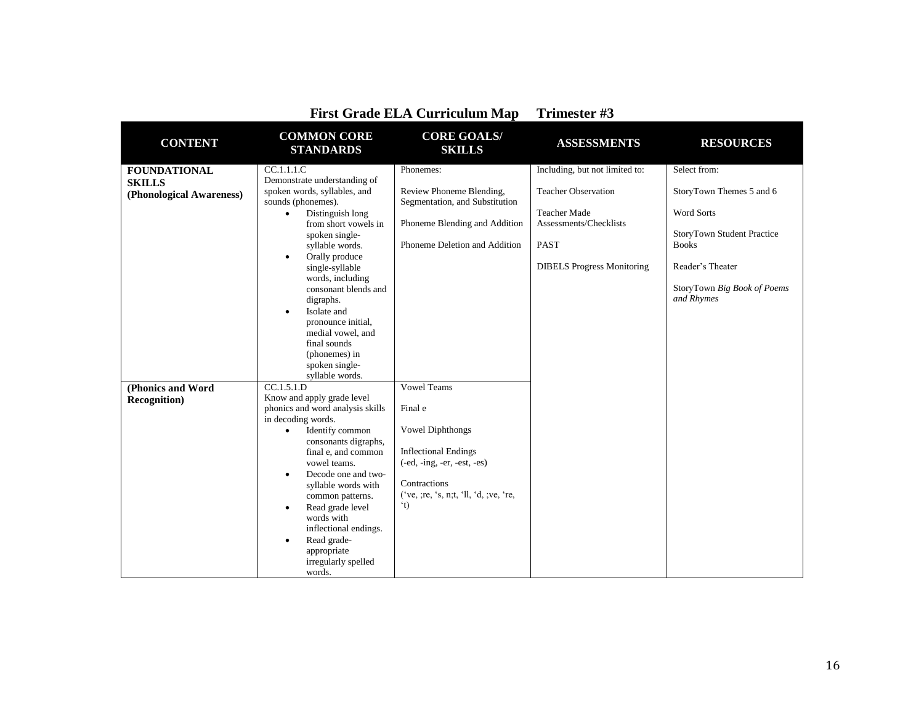| <b>CONTENT</b>           | <b>COMMON CORE</b><br><b>STANDARDS</b>                                            | <b>CORE GOALS/</b><br><b>SKILLS</b>                        | <b>ASSESSMENTS</b>                            | <b>RESOURCES</b>                          |
|--------------------------|-----------------------------------------------------------------------------------|------------------------------------------------------------|-----------------------------------------------|-------------------------------------------|
| <b>FOUNDATIONAL</b>      | CC.1.1.1.C                                                                        | Phonemes:                                                  | Including, but not limited to:                | Select from:                              |
| <b>SKILLS</b>            | Demonstrate understanding of                                                      |                                                            |                                               |                                           |
| (Phonological Awareness) | spoken words, syllables, and<br>sounds (phonemes).                                | Review Phoneme Blending,<br>Segmentation, and Substitution | <b>Teacher Observation</b>                    | StoryTown Themes 5 and 6                  |
|                          | Distinguish long<br>$\bullet$<br>from short vowels in                             | Phoneme Blending and Addition                              | <b>Teacher Made</b><br>Assessments/Checklists | <b>Word Sorts</b>                         |
|                          | spoken single-                                                                    |                                                            |                                               | StoryTown Student Practice                |
|                          | syllable words.                                                                   | Phoneme Deletion and Addition                              | <b>PAST</b>                                   | <b>Books</b>                              |
|                          | Orally produce<br>$\bullet$<br>single-syllable                                    |                                                            | <b>DIBELS</b> Progress Monitoring             | Reader's Theater                          |
|                          | words, including<br>consonant blends and<br>digraphs.<br>Isolate and<br>$\bullet$ |                                                            |                                               | StoryTown Big Book of Poems<br>and Rhymes |
|                          | pronounce initial,<br>medial vowel, and                                           |                                                            |                                               |                                           |
|                          | final sounds                                                                      |                                                            |                                               |                                           |
|                          | (phonemes) in<br>spoken single-                                                   |                                                            |                                               |                                           |
|                          | svllable words.                                                                   |                                                            |                                               |                                           |
| (Phonics and Word        | CC.1.5.1.D                                                                        | <b>Vowel Teams</b>                                         |                                               |                                           |
| <b>Recognition</b> )     | Know and apply grade level                                                        |                                                            |                                               |                                           |
|                          | phonics and word analysis skills                                                  | Final e                                                    |                                               |                                           |
|                          | in decoding words.                                                                |                                                            |                                               |                                           |
|                          | Identify common<br>$\bullet$                                                      | <b>Vowel Diphthongs</b>                                    |                                               |                                           |
|                          | consonants digraphs,                                                              |                                                            |                                               |                                           |
|                          | final e, and common                                                               | <b>Inflectional Endings</b>                                |                                               |                                           |
|                          | vowel teams.<br>Decode one and two-                                               | $(-ed, -ing, -er, -est, -es)$                              |                                               |                                           |
|                          | $\bullet$<br>syllable words with                                                  | Contractions                                               |                                               |                                           |
|                          | common patterns.                                                                  | ('ve, ;re, 's, n;t, 'll, 'd, ;ve, 're,                     |                                               |                                           |
|                          | Read grade level<br>٠                                                             | (t)                                                        |                                               |                                           |
|                          | words with                                                                        |                                                            |                                               |                                           |
|                          | inflectional endings.                                                             |                                                            |                                               |                                           |
|                          | Read grade-<br>$\bullet$                                                          |                                                            |                                               |                                           |
|                          | appropriate                                                                       |                                                            |                                               |                                           |
|                          | irregularly spelled                                                               |                                                            |                                               |                                           |
|                          | words.                                                                            |                                                            |                                               |                                           |

|  | <b>First Grade ELA Curriculum Map</b> | Trimester #3 |
|--|---------------------------------------|--------------|
|--|---------------------------------------|--------------|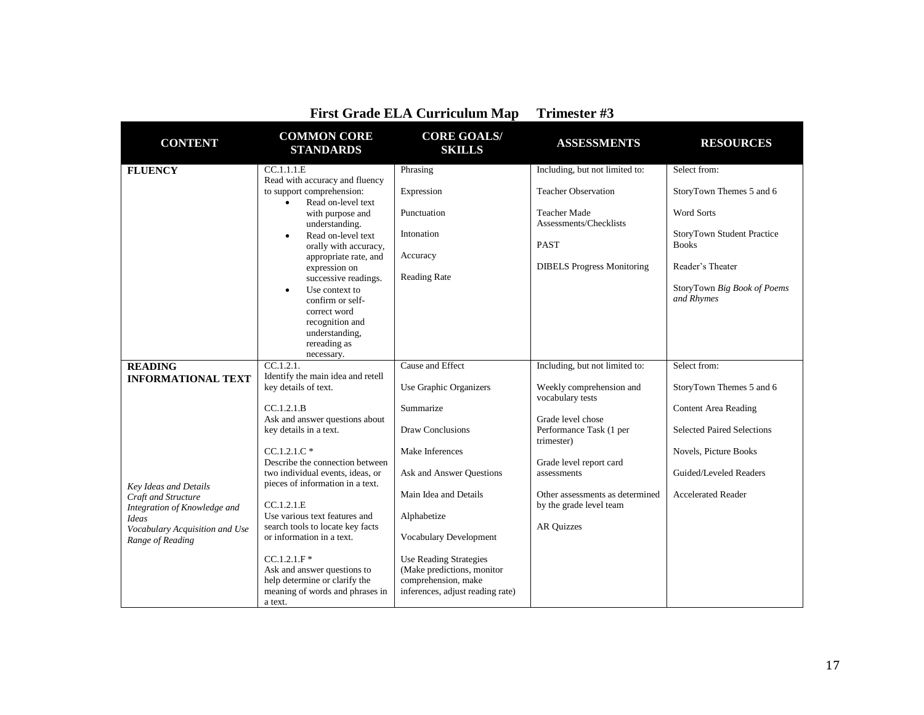| <b>CONTENT</b>                                      | <b>COMMON CORE</b><br><b>STANDARDS</b>                                      | <b>CORE GOALS/</b><br><b>SKILLS</b>                         | <b>ASSESSMENTS</b>                                         | <b>RESOURCES</b>                                  |
|-----------------------------------------------------|-----------------------------------------------------------------------------|-------------------------------------------------------------|------------------------------------------------------------|---------------------------------------------------|
| <b>FLUENCY</b>                                      | CC.1.1.1.E<br>Read with accuracy and fluency                                | Phrasing                                                    | Including, but not limited to:                             | Select from:                                      |
|                                                     | to support comprehension:<br>Read on-level text<br>$\bullet$                | Expression                                                  | <b>Teacher Observation</b>                                 | StoryTown Themes 5 and 6                          |
|                                                     | with purpose and<br>understanding.                                          | Punctuation                                                 | <b>Teacher Made</b><br>Assessments/Checklists              | <b>Word Sorts</b>                                 |
|                                                     | Read on-level text<br>$\bullet$<br>orally with accuracy,                    | Intonation                                                  | <b>PAST</b>                                                | <b>StoryTown Student Practice</b><br><b>Books</b> |
|                                                     | appropriate rate, and<br>expression on                                      | Accuracy                                                    | <b>DIBELS</b> Progress Monitoring                          | Reader's Theater                                  |
|                                                     | successive readings.<br>Use context to<br>$\bullet$<br>confirm or self-     | <b>Reading Rate</b>                                         |                                                            | StoryTown Big Book of Poems<br>and Rhymes         |
|                                                     | correct word<br>recognition and                                             |                                                             |                                                            |                                                   |
|                                                     | understanding,<br>rereading as<br>necessary.                                |                                                             |                                                            |                                                   |
| <b>READING</b>                                      | CC.1.2.1                                                                    | Cause and Effect                                            | Including, but not limited to:                             | Select from:                                      |
| <b>INFORMATIONAL TEXT</b>                           | Identify the main idea and retell<br>key details of text.                   | Use Graphic Organizers                                      | Weekly comprehension and<br>vocabulary tests               | StoryTown Themes 5 and 6                          |
|                                                     | CC.1.2.1.B<br>Ask and answer questions about                                | Summarize                                                   | Grade level chose                                          | <b>Content Area Reading</b>                       |
|                                                     | key details in a text.                                                      | Draw Conclusions                                            | Performance Task (1 per<br>trimester)                      | <b>Selected Paired Selections</b>                 |
|                                                     | $CC.1.2.1.C*$<br>Describe the connection between                            | Make Inferences                                             | Grade level report card                                    | Novels, Picture Books                             |
| Key Ideas and Details                               | two individual events, ideas, or<br>pieces of information in a text.        | Ask and Answer Ouestions                                    | assessments                                                | Guided/Leveled Readers                            |
| Craft and Structure<br>Integration of Knowledge and | CC.1.2.1.E                                                                  | Main Idea and Details                                       | Other assessments as determined<br>by the grade level team | <b>Accelerated Reader</b>                         |
| Ideas                                               | Use various text features and<br>search tools to locate key facts           | Alphabetize                                                 | <b>AR Quizzes</b>                                          |                                                   |
| Vocabulary Acquisition and Use<br>Range of Reading  | or information in a text.                                                   | <b>Vocabulary Development</b>                               |                                                            |                                                   |
|                                                     | $CC.1.2.1.F$ *<br>Ask and answer questions to                               | <b>Use Reading Strategies</b><br>(Make predictions, monitor |                                                            |                                                   |
|                                                     | help determine or clarify the<br>meaning of words and phrases in<br>a text. | comprehension, make<br>inferences, adjust reading rate)     |                                                            |                                                   |
|                                                     |                                                                             |                                                             |                                                            |                                                   |

| <b>First Grade ELA Curriculum Map</b> | Trimester #3 |
|---------------------------------------|--------------|
|                                       |              |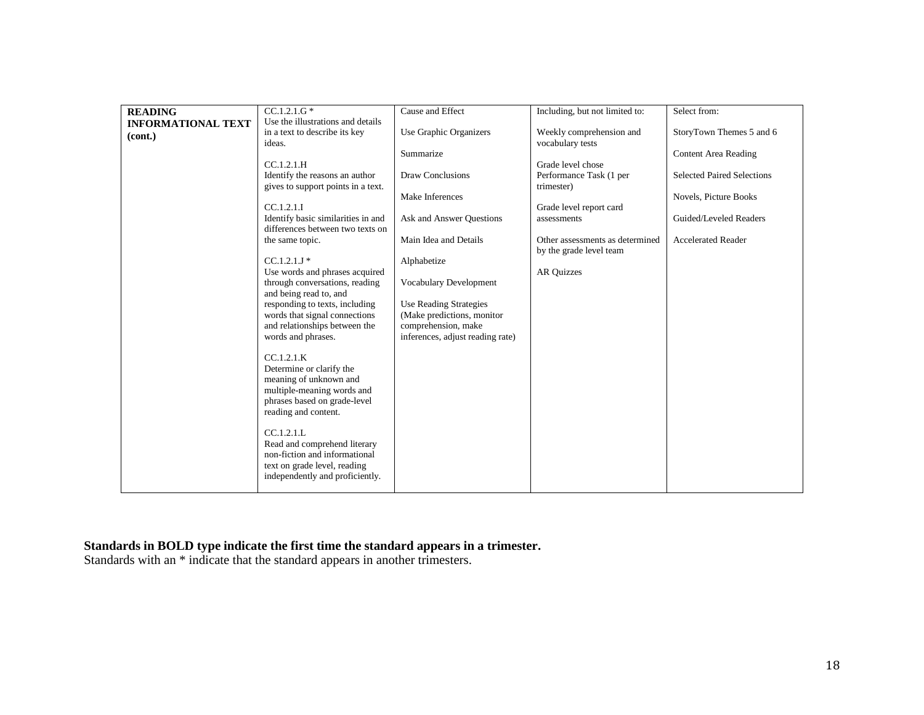| <b>READING</b>            | $CC.1.2.1.G*$                                                          | Cause and Effect                                        | Including, but not limited to:                             | Select from:                      |
|---------------------------|------------------------------------------------------------------------|---------------------------------------------------------|------------------------------------------------------------|-----------------------------------|
| <b>INFORMATIONAL TEXT</b> | Use the illustrations and details                                      |                                                         |                                                            |                                   |
| (cont.)                   | in a text to describe its key                                          | Use Graphic Organizers                                  | Weekly comprehension and                                   | StoryTown Themes 5 and 6          |
|                           | ideas.                                                                 |                                                         | vocabulary tests                                           |                                   |
|                           |                                                                        | Summarize                                               |                                                            | <b>Content Area Reading</b>       |
|                           | CC.1.2.1.H                                                             |                                                         | Grade level chose                                          |                                   |
|                           | Identify the reasons an author<br>gives to support points in a text.   | <b>Draw Conclusions</b>                                 | Performance Task (1 per<br>trimester)                      | <b>Selected Paired Selections</b> |
|                           |                                                                        | Make Inferences                                         |                                                            | Novels, Picture Books             |
|                           | CC.1.2.1.1                                                             |                                                         | Grade level report card                                    |                                   |
|                           | Identify basic similarities in and<br>differences between two texts on | Ask and Answer Questions                                | assessments                                                | Guided/Leveled Readers            |
|                           | the same topic.                                                        | Main Idea and Details                                   | Other assessments as determined<br>by the grade level team | <b>Accelerated Reader</b>         |
|                           | $CC.1.2.1J*$                                                           | Alphabetize                                             |                                                            |                                   |
|                           | Use words and phrases acquired                                         |                                                         | <b>AR Quizzes</b>                                          |                                   |
|                           | through conversations, reading                                         | Vocabulary Development                                  |                                                            |                                   |
|                           | and being read to, and                                                 |                                                         |                                                            |                                   |
|                           | responding to texts, including                                         | <b>Use Reading Strategies</b>                           |                                                            |                                   |
|                           | words that signal connections                                          | (Make predictions, monitor                              |                                                            |                                   |
|                           | and relationships between the<br>words and phrases.                    | comprehension, make<br>inferences, adjust reading rate) |                                                            |                                   |
|                           |                                                                        |                                                         |                                                            |                                   |
|                           | CC.1.2.1.K                                                             |                                                         |                                                            |                                   |
|                           | Determine or clarify the                                               |                                                         |                                                            |                                   |
|                           | meaning of unknown and                                                 |                                                         |                                                            |                                   |
|                           | multiple-meaning words and                                             |                                                         |                                                            |                                   |
|                           | phrases based on grade-level                                           |                                                         |                                                            |                                   |
|                           | reading and content.                                                   |                                                         |                                                            |                                   |
|                           | CC.1.2.1.L                                                             |                                                         |                                                            |                                   |
|                           | Read and comprehend literary                                           |                                                         |                                                            |                                   |
|                           | non-fiction and informational                                          |                                                         |                                                            |                                   |
|                           | text on grade level, reading                                           |                                                         |                                                            |                                   |
|                           | independently and proficiently.                                        |                                                         |                                                            |                                   |
|                           |                                                                        |                                                         |                                                            |                                   |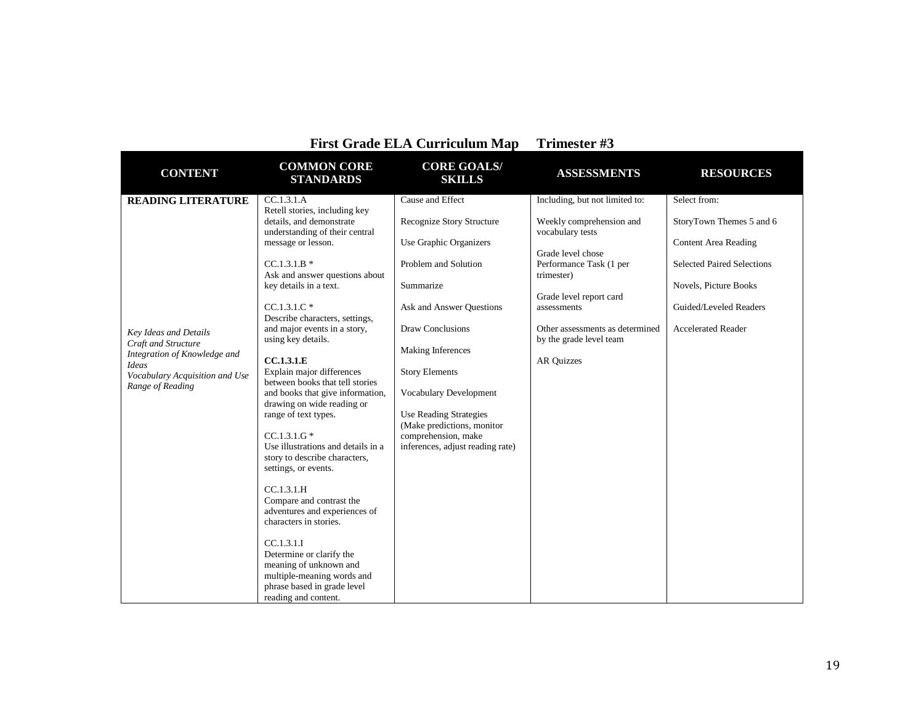| <b>First Grade ELA Curriculum Map</b>                                                              |                                                                                                                                                                                                                                                                                                                                                                                                                                                                                                                                                    | Trimester #3                                                                                                                                                                                    |                                                                                                                                                                                                                                                      |                                                                                                                                                                                              |
|----------------------------------------------------------------------------------------------------|----------------------------------------------------------------------------------------------------------------------------------------------------------------------------------------------------------------------------------------------------------------------------------------------------------------------------------------------------------------------------------------------------------------------------------------------------------------------------------------------------------------------------------------------------|-------------------------------------------------------------------------------------------------------------------------------------------------------------------------------------------------|------------------------------------------------------------------------------------------------------------------------------------------------------------------------------------------------------------------------------------------------------|----------------------------------------------------------------------------------------------------------------------------------------------------------------------------------------------|
| <b>CONTENT</b>                                                                                     | <b>COMMON CORE</b><br><b>STANDARDS</b>                                                                                                                                                                                                                                                                                                                                                                                                                                                                                                             | <b>CORE GOALS/</b><br><b>SKILLS</b>                                                                                                                                                             | <b>ASSESSMENTS</b>                                                                                                                                                                                                                                   | <b>RESOURCES</b>                                                                                                                                                                             |
| <b>READING LITERATURE</b><br>Key Ideas and Details<br>Craft and Structure                          | CC.1.3.1.A<br>Retell stories, including key<br>details, and demonstrate<br>understanding of their central<br>message or lesson.<br>$CC.1.3.1.B*$<br>Ask and answer questions about<br>key details in a text.<br>$CC.1.3.1.C*$<br>Describe characters, settings,<br>and major events in a story,<br>using key details.                                                                                                                                                                                                                              | Cause and Effect<br><b>Recognize Story Structure</b><br>Use Graphic Organizers<br>Problem and Solution<br>Summarize<br>Ask and Answer Ouestions<br><b>Draw Conclusions</b><br>Making Inferences | Including, but not limited to:<br>Weekly comprehension and<br>vocabulary tests<br>Grade level chose<br>Performance Task (1 per<br>trimester)<br>Grade level report card<br>assessments<br>Other assessments as determined<br>by the grade level team | Select from:<br>StoryTown Themes 5 and 6<br><b>Content Area Reading</b><br><b>Selected Paired Selections</b><br>Novels, Picture Books<br>Guided/Leveled Readers<br><b>Accelerated Reader</b> |
| Integration of Knowledge and<br><b>Ideas</b><br>Vocabulary Acquisition and Use<br>Range of Reading | CC.1.3.1.E<br>Explain major differences<br>between books that tell stories<br>and books that give information,<br>drawing on wide reading or<br>range of text types.<br>$CC.1.3.1.G*$<br>Use illustrations and details in a<br>story to describe characters,<br>settings, or events.<br>CC.1.3.1.H<br>Compare and contrast the<br>adventures and experiences of<br>characters in stories.<br>CC.1.3.1.1<br>Determine or clarify the<br>meaning of unknown and<br>multiple-meaning words and<br>phrase based in grade level<br>reading and content. | <b>Story Elements</b><br>Vocabulary Development<br><b>Use Reading Strategies</b><br>(Make predictions, monitor<br>comprehension, make<br>inferences, adjust reading rate)                       | <b>AR Quizzes</b>                                                                                                                                                                                                                                    |                                                                                                                                                                                              |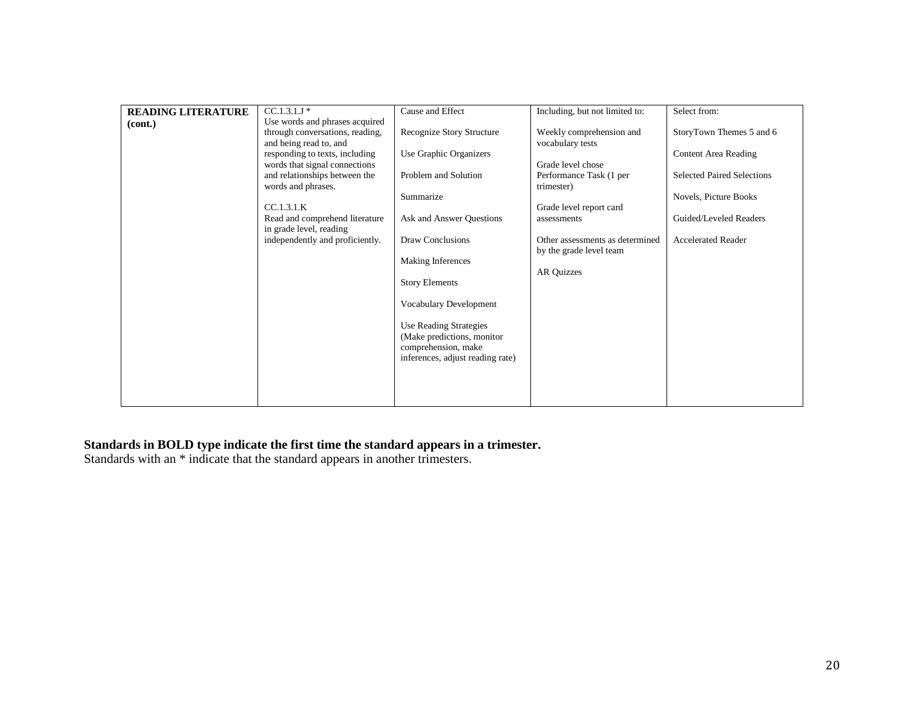| <b>READING LITERATURE</b> | $CC.1.3.1J*$                    | Cause and Effect                 | Including, but not limited to:  | Select from:                      |
|---------------------------|---------------------------------|----------------------------------|---------------------------------|-----------------------------------|
| (cont.)                   | Use words and phrases acquired  |                                  |                                 |                                   |
|                           | through conversations, reading, | Recognize Story Structure        | Weekly comprehension and        | StoryTown Themes 5 and 6          |
|                           | and being read to, and          |                                  | vocabulary tests                |                                   |
|                           | responding to texts, including  | Use Graphic Organizers           |                                 | <b>Content Area Reading</b>       |
|                           | words that signal connections   |                                  | Grade level chose               |                                   |
|                           | and relationships between the   | Problem and Solution             | Performance Task (1 per         | <b>Selected Paired Selections</b> |
|                           | words and phrases.              |                                  | trimester)                      |                                   |
|                           | CC.1.3.1.K                      | Summarize                        | Grade level report card         | Novels, Picture Books             |
|                           | Read and comprehend literature  | Ask and Answer Questions         |                                 | Guided/Leveled Readers            |
|                           | in grade level, reading         |                                  | assessments                     |                                   |
|                           | independently and proficiently. | Draw Conclusions                 | Other assessments as determined | <b>Accelerated Reader</b>         |
|                           |                                 |                                  | by the grade level team         |                                   |
|                           |                                 | Making Inferences                |                                 |                                   |
|                           |                                 |                                  | AR Quizzes                      |                                   |
|                           |                                 | <b>Story Elements</b>            |                                 |                                   |
|                           |                                 |                                  |                                 |                                   |
|                           |                                 | Vocabulary Development           |                                 |                                   |
|                           |                                 |                                  |                                 |                                   |
|                           |                                 | <b>Use Reading Strategies</b>    |                                 |                                   |
|                           |                                 | (Make predictions, monitor)      |                                 |                                   |
|                           |                                 | comprehension, make              |                                 |                                   |
|                           |                                 | inferences, adjust reading rate) |                                 |                                   |
|                           |                                 |                                  |                                 |                                   |
|                           |                                 |                                  |                                 |                                   |
|                           |                                 |                                  |                                 |                                   |
|                           |                                 |                                  |                                 |                                   |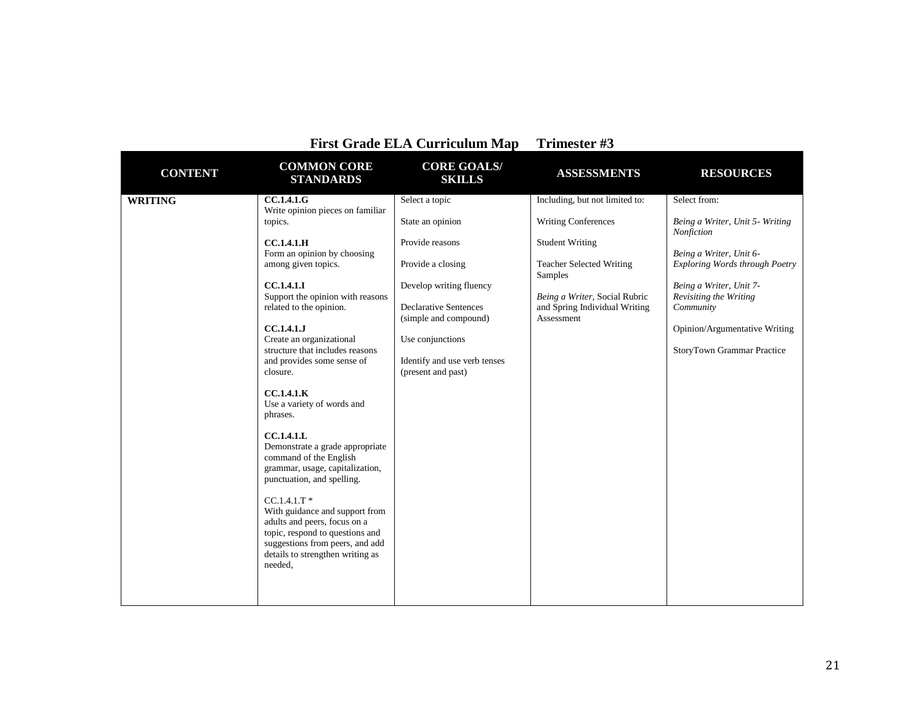| <b>COMMON CORE</b><br><b>CORE GOALS/</b><br><b>CONTENT</b><br><b>ASSESSMENTS</b><br><b>RESOURCES</b><br><b>STANDARDS</b><br><b>SKILLS</b><br>Including, but not limited to:<br>Select from:<br><b>CC.1.4.1.G</b><br>Select a topic<br><b>WRITING</b><br>Write opinion pieces on familiar<br><b>Writing Conferences</b><br>topics.<br>State an opinion<br>Being a Writer, Unit 5- Writing<br>Nonfiction<br><b>CC.1.4.1.H</b><br>Provide reasons<br><b>Student Writing</b><br>Form an opinion by choosing<br>Being a Writer, Unit 6-<br>among given topics.<br>Exploring Words through Poetry<br>Provide a closing<br><b>Teacher Selected Writing</b><br>Samples<br><b>CC.1.4.1.I</b><br>Develop writing fluency<br>Being a Writer, Unit 7-<br>Support the opinion with reasons<br>Being a Writer, Social Rubric<br>Revisiting the Writing<br>related to the opinion.<br><b>Declarative Sentences</b><br>and Spring Individual Writing<br>Community<br>(simple and compound)<br>Assessment<br><b>CC.1.4.1.J</b><br>Opinion/Argumentative Writing<br>Create an organizational<br>Use conjunctions<br>structure that includes reasons<br><b>StoryTown Grammar Practice</b><br>and provides some sense of<br>Identify and use verb tenses<br>closure.<br>(present and past)<br>CC.1.4.1.K<br>Use a variety of words and<br>phrases.<br><b>CC.1.4.1.L</b><br>Demonstrate a grade appropriate<br>command of the English<br>grammar, usage, capitalization,<br>punctuation, and spelling.<br>$CC.1.4.1.T$ *<br>With guidance and support from<br>adults and peers, focus on a<br>topic, respond to questions and<br>suggestions from peers, and add<br>details to strengthen writing as<br>needed, |  | FIISt Graue ELA Curriculum Map | $11$ intested $HJ$ |  |
|--------------------------------------------------------------------------------------------------------------------------------------------------------------------------------------------------------------------------------------------------------------------------------------------------------------------------------------------------------------------------------------------------------------------------------------------------------------------------------------------------------------------------------------------------------------------------------------------------------------------------------------------------------------------------------------------------------------------------------------------------------------------------------------------------------------------------------------------------------------------------------------------------------------------------------------------------------------------------------------------------------------------------------------------------------------------------------------------------------------------------------------------------------------------------------------------------------------------------------------------------------------------------------------------------------------------------------------------------------------------------------------------------------------------------------------------------------------------------------------------------------------------------------------------------------------------------------------------------------------------------------------------------------------------------------------------|--|--------------------------------|--------------------|--|
|                                                                                                                                                                                                                                                                                                                                                                                                                                                                                                                                                                                                                                                                                                                                                                                                                                                                                                                                                                                                                                                                                                                                                                                                                                                                                                                                                                                                                                                                                                                                                                                                                                                                                            |  |                                |                    |  |
|                                                                                                                                                                                                                                                                                                                                                                                                                                                                                                                                                                                                                                                                                                                                                                                                                                                                                                                                                                                                                                                                                                                                                                                                                                                                                                                                                                                                                                                                                                                                                                                                                                                                                            |  |                                |                    |  |

## **First Grade ELA Curriculum Map Trimester #3**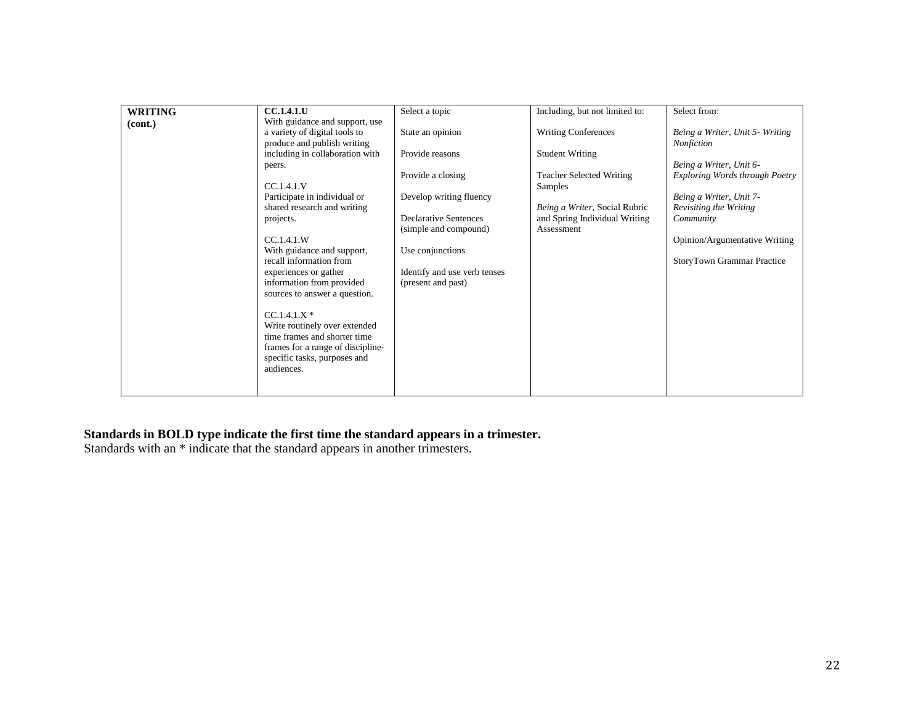| <b>WRITING</b> | <b>CC.1.4.1.U</b>                                  | Select a topic                                     | Including, but not limited to:  | Select from:                          |
|----------------|----------------------------------------------------|----------------------------------------------------|---------------------------------|---------------------------------------|
| (cont.)        | With guidance and support, use                     |                                                    |                                 |                                       |
|                | a variety of digital tools to                      | State an opinion                                   | <b>Writing Conferences</b>      | Being a Writer, Unit 5- Writing       |
|                | produce and publish writing                        |                                                    |                                 | Nonfiction                            |
|                | including in collaboration with                    | Provide reasons                                    | <b>Student Writing</b>          |                                       |
|                | peers.                                             |                                                    |                                 | Being a Writer, Unit 6-               |
|                |                                                    | Provide a closing                                  | <b>Teacher Selected Writing</b> | <b>Exploring Words through Poetry</b> |
|                | CC.1.4.1.V                                         |                                                    | Samples                         |                                       |
|                | Participate in individual or                       | Develop writing fluency                            |                                 | Being a Writer, Unit 7-               |
|                | shared research and writing                        |                                                    | Being a Writer, Social Rubric   | Revisiting the Writing                |
|                | projects.                                          | <b>Declarative Sentences</b>                       | and Spring Individual Writing   | Community                             |
|                |                                                    | (simple and compound)                              | Assessment                      |                                       |
|                | CC.1.4.1.W                                         |                                                    |                                 | Opinion/Argumentative Writing         |
|                | With guidance and support,                         | Use conjunctions                                   |                                 |                                       |
|                | recall information from                            |                                                    |                                 | StoryTown Grammar Practice            |
|                | experiences or gather<br>information from provided | Identify and use verb tenses<br>(present and past) |                                 |                                       |
|                | sources to answer a question.                      |                                                    |                                 |                                       |
|                |                                                    |                                                    |                                 |                                       |
|                | $CC.1.4.1.X*$                                      |                                                    |                                 |                                       |
|                | Write routinely over extended                      |                                                    |                                 |                                       |
|                | time frames and shorter time                       |                                                    |                                 |                                       |
|                | frames for a range of discipline-                  |                                                    |                                 |                                       |
|                | specific tasks, purposes and                       |                                                    |                                 |                                       |
|                | audiences.                                         |                                                    |                                 |                                       |
|                |                                                    |                                                    |                                 |                                       |
|                |                                                    |                                                    |                                 |                                       |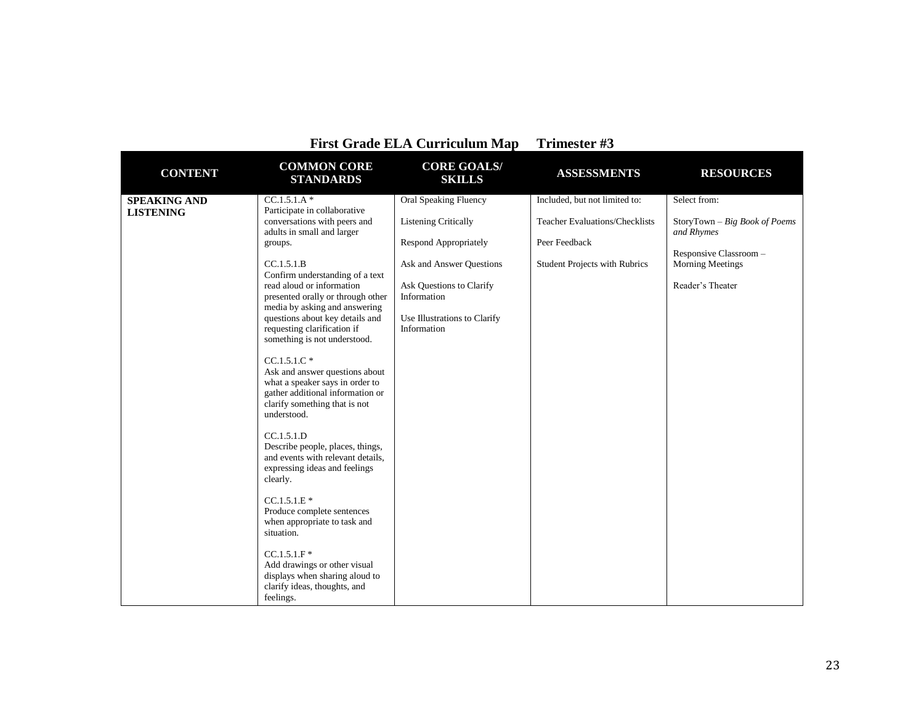| First Grade ELA Curriculum Map          |                                                                                                                                                                                                                                                                                                                                                                                                                                                                                                                                                                                                                                                                                                                                                                                         |                                                                                                                                                                                                     | Trimester #3                                                                                                                    |                                                                                                                                      |
|-----------------------------------------|-----------------------------------------------------------------------------------------------------------------------------------------------------------------------------------------------------------------------------------------------------------------------------------------------------------------------------------------------------------------------------------------------------------------------------------------------------------------------------------------------------------------------------------------------------------------------------------------------------------------------------------------------------------------------------------------------------------------------------------------------------------------------------------------|-----------------------------------------------------------------------------------------------------------------------------------------------------------------------------------------------------|---------------------------------------------------------------------------------------------------------------------------------|--------------------------------------------------------------------------------------------------------------------------------------|
| <b>CONTENT</b>                          | <b>COMMON CORE</b><br><b>STANDARDS</b>                                                                                                                                                                                                                                                                                                                                                                                                                                                                                                                                                                                                                                                                                                                                                  | <b>CORE GOALS/</b><br><b>SKILLS</b>                                                                                                                                                                 | <b>ASSESSMENTS</b>                                                                                                              | <b>RESOURCES</b>                                                                                                                     |
| <b>SPEAKING AND</b><br><b>LISTENING</b> | $CC.1.5.1.A*$<br>Participate in collaborative<br>conversations with peers and<br>adults in small and larger<br>groups.<br>CC.1.5.1.B<br>Confirm understanding of a text<br>read aloud or information<br>presented orally or through other<br>media by asking and answering<br>questions about key details and<br>requesting clarification if<br>something is not understood.<br>$CC.1.5.1.C*$<br>Ask and answer questions about<br>what a speaker says in order to<br>gather additional information or<br>clarify something that is not<br>understood.<br>CC.1.5.1.D<br>Describe people, places, things,<br>and events with relevant details,<br>expressing ideas and feelings<br>clearly.<br>$CC.1.5.1.E*$<br>Produce complete sentences<br>when appropriate to task and<br>situation. | Oral Speaking Fluency<br><b>Listening Critically</b><br>Respond Appropriately<br>Ask and Answer Questions<br>Ask Questions to Clarify<br>Information<br>Use Illustrations to Clarify<br>Information | Included, but not limited to:<br><b>Teacher Evaluations/Checklists</b><br>Peer Feedback<br><b>Student Projects with Rubrics</b> | Select from:<br>StoryTown - Big Book of Poems<br>and Rhymes<br>Responsive Classroom -<br><b>Morning Meetings</b><br>Reader's Theater |
|                                         | $CC.1.5.1.F$ *<br>Add drawings or other visual<br>displays when sharing aloud to<br>clarify ideas, thoughts, and<br>feelings.                                                                                                                                                                                                                                                                                                                                                                                                                                                                                                                                                                                                                                                           |                                                                                                                                                                                                     |                                                                                                                                 |                                                                                                                                      |